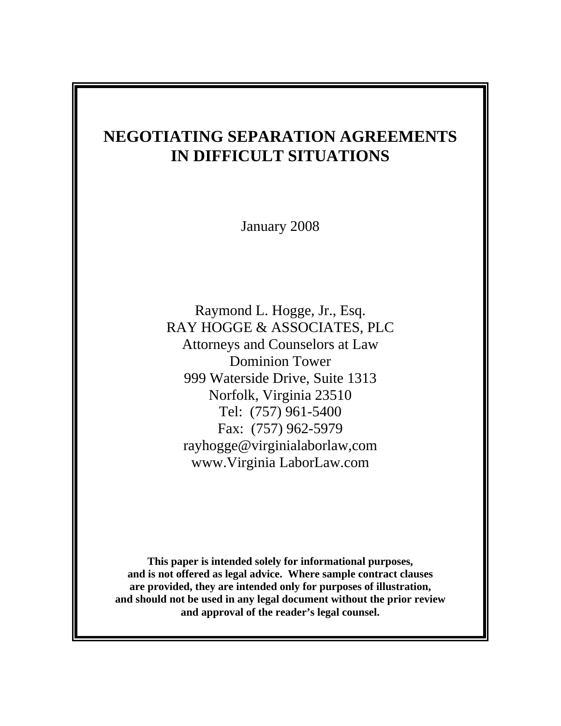# **NEGOTIATING SEPARATION AGREEMENTS IN DIFFICULT SITUATIONS**

January 2008

Raymond L. Hogge, Jr., Esq. RAY HOGGE & ASSOCIATES, PLC Attorneys and Counselors at Law Dominion Tower 999 Waterside Drive, Suite 1313 Norfolk, Virginia 23510 Tel: (757) 961-5400 Fax: (757) 962-5979 rayhogge@virginialaborlaw,com www.Virginia LaborLaw.com

**This paper is intended solely for informational purposes, and is not offered as legal advice. Where sample contract clauses are provided, they are intended only for purposes of illustration, and should not be used in any legal document without the prior review and approval of the reader's legal counsel.**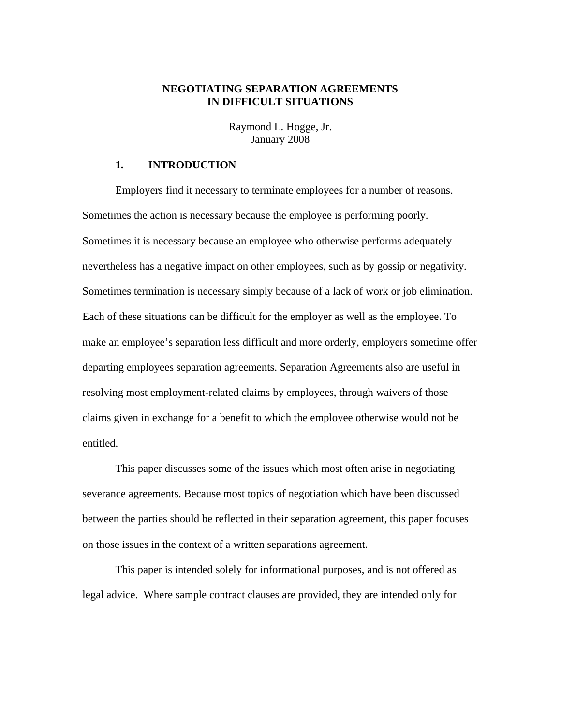## **NEGOTIATING SEPARATION AGREEMENTS IN DIFFICULT SITUATIONS**

Raymond L. Hogge, Jr. January 2008

## **1. INTRODUCTION**

 Employers find it necessary to terminate employees for a number of reasons. Sometimes the action is necessary because the employee is performing poorly. Sometimes it is necessary because an employee who otherwise performs adequately nevertheless has a negative impact on other employees, such as by gossip or negativity. Sometimes termination is necessary simply because of a lack of work or job elimination. Each of these situations can be difficult for the employer as well as the employee. To make an employee's separation less difficult and more orderly, employers sometime offer departing employees separation agreements. Separation Agreements also are useful in resolving most employment-related claims by employees, through waivers of those claims given in exchange for a benefit to which the employee otherwise would not be entitled.

 This paper discusses some of the issues which most often arise in negotiating severance agreements. Because most topics of negotiation which have been discussed between the parties should be reflected in their separation agreement, this paper focuses on those issues in the context of a written separations agreement.

 This paper is intended solely for informational purposes, and is not offered as legal advice. Where sample contract clauses are provided, they are intended only for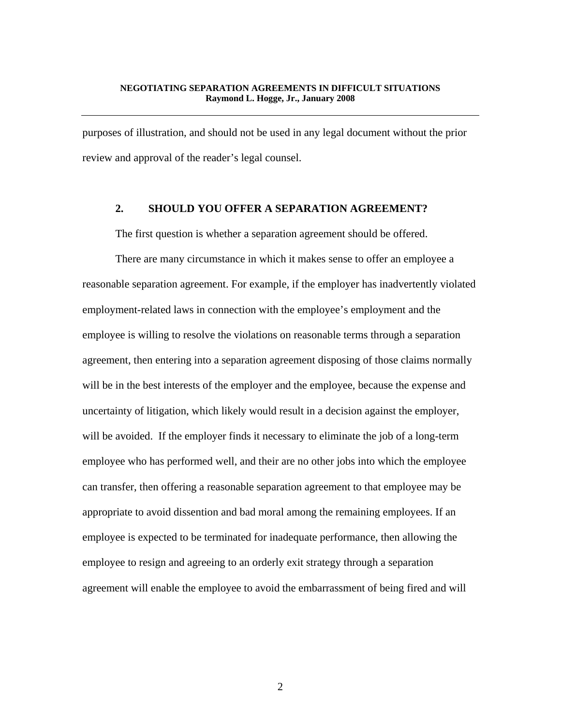purposes of illustration, and should not be used in any legal document without the prior review and approval of the reader's legal counsel.

# **2. SHOULD YOU OFFER A SEPARATION AGREEMENT?**

The first question is whether a separation agreement should be offered.

 There are many circumstance in which it makes sense to offer an employee a reasonable separation agreement. For example, if the employer has inadvertently violated employment-related laws in connection with the employee's employment and the employee is willing to resolve the violations on reasonable terms through a separation agreement, then entering into a separation agreement disposing of those claims normally will be in the best interests of the employer and the employee, because the expense and uncertainty of litigation, which likely would result in a decision against the employer, will be avoided. If the employer finds it necessary to eliminate the job of a long-term employee who has performed well, and their are no other jobs into which the employee can transfer, then offering a reasonable separation agreement to that employee may be appropriate to avoid dissention and bad moral among the remaining employees. If an employee is expected to be terminated for inadequate performance, then allowing the employee to resign and agreeing to an orderly exit strategy through a separation agreement will enable the employee to avoid the embarrassment of being fired and will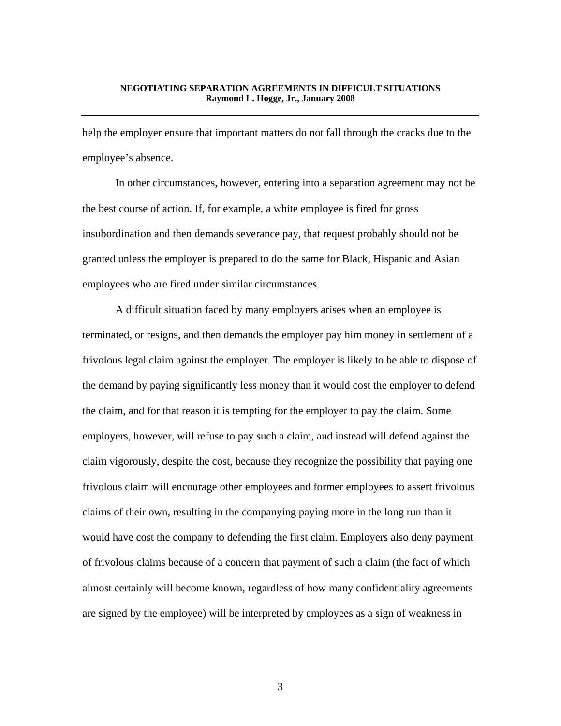help the employer ensure that important matters do not fall through the cracks due to the employee's absence.

 In other circumstances, however, entering into a separation agreement may not be the best course of action. If, for example, a white employee is fired for gross insubordination and then demands severance pay, that request probably should not be granted unless the employer is prepared to do the same for Black, Hispanic and Asian employees who are fired under similar circumstances.

 A difficult situation faced by many employers arises when an employee is terminated, or resigns, and then demands the employer pay him money in settlement of a frivolous legal claim against the employer. The employer is likely to be able to dispose of the demand by paying significantly less money than it would cost the employer to defend the claim, and for that reason it is tempting for the employer to pay the claim. Some employers, however, will refuse to pay such a claim, and instead will defend against the claim vigorously, despite the cost, because they recognize the possibility that paying one frivolous claim will encourage other employees and former employees to assert frivolous claims of their own, resulting in the companying paying more in the long run than it would have cost the company to defending the first claim. Employers also deny payment of frivolous claims because of a concern that payment of such a claim (the fact of which almost certainly will become known, regardless of how many confidentiality agreements are signed by the employee) will be interpreted by employees as a sign of weakness in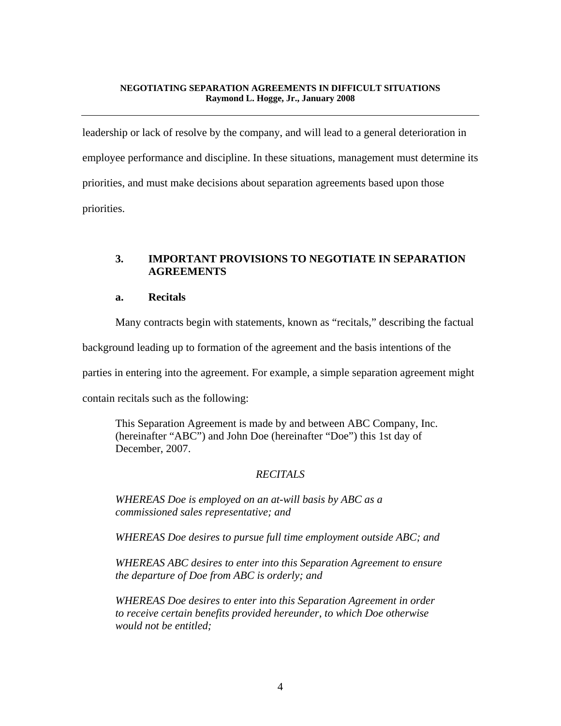leadership or lack of resolve by the company, and will lead to a general deterioration in employee performance and discipline. In these situations, management must determine its priorities, and must make decisions about separation agreements based upon those priorities.

# **3. IMPORTANT PROVISIONS TO NEGOTIATE IN SEPARATION AGREEMENTS**

# **a. Recitals**

Many contracts begin with statements, known as "recitals," describing the factual

background leading up to formation of the agreement and the basis intentions of the

parties in entering into the agreement. For example, a simple separation agreement might

contain recitals such as the following:

This Separation Agreement is made by and between ABC Company, Inc. (hereinafter "ABC") and John Doe (hereinafter "Doe") this 1st day of December, 2007.

# *RECITALS*

*WHEREAS Doe is employed on an at-will basis by ABC as a commissioned sales representative; and* 

*WHEREAS Doe desires to pursue full time employment outside ABC; and* 

*WHEREAS ABC desires to enter into this Separation Agreement to ensure the departure of Doe from ABC is orderly; and* 

*WHEREAS Doe desires to enter into this Separation Agreement in order to receive certain benefits provided hereunder, to which Doe otherwise would not be entitled;*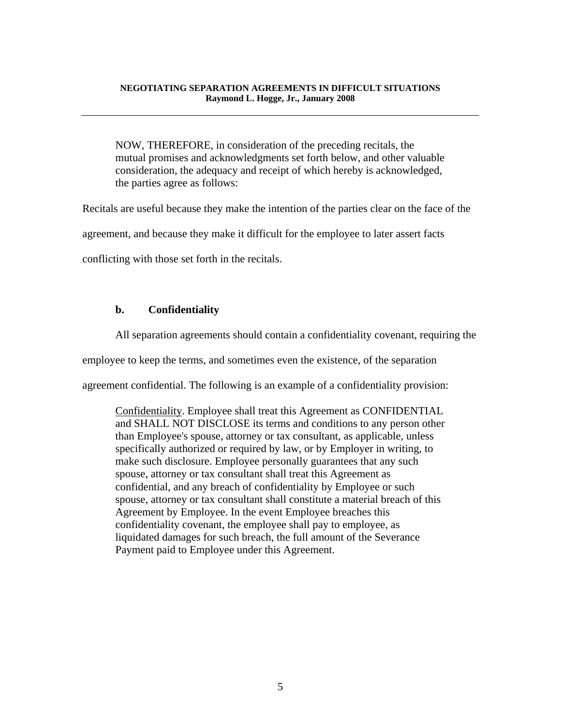NOW, THEREFORE, in consideration of the preceding recitals, the mutual promises and acknowledgments set forth below, and other valuable consideration, the adequacy and receipt of which hereby is acknowledged, the parties agree as follows:

Recitals are useful because they make the intention of the parties clear on the face of the

agreement, and because they make it difficult for the employee to later assert facts

conflicting with those set forth in the recitals.

## **b. Confidentiality**

All separation agreements should contain a confidentiality covenant, requiring the

employee to keep the terms, and sometimes even the existence, of the separation

agreement confidential. The following is an example of a confidentiality provision:

Confidentiality. Employee shall treat this Agreement as CONFIDENTIAL and SHALL NOT DISCLOSE its terms and conditions to any person other than Employee's spouse, attorney or tax consultant, as applicable, unless specifically authorized or required by law, or by Employer in writing, to make such disclosure. Employee personally guarantees that any such spouse, attorney or tax consultant shall treat this Agreement as confidential, and any breach of confidentiality by Employee or such spouse, attorney or tax consultant shall constitute a material breach of this Agreement by Employee. In the event Employee breaches this confidentiality covenant, the employee shall pay to employee, as liquidated damages for such breach, the full amount of the Severance Payment paid to Employee under this Agreement.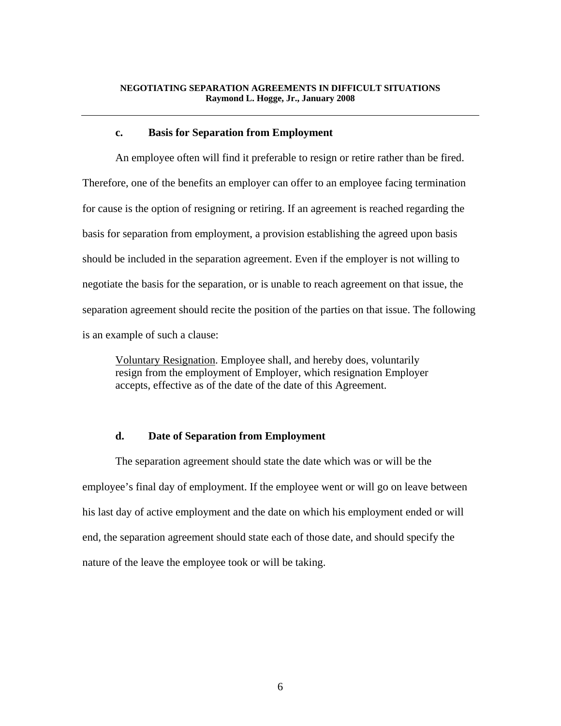#### **c. Basis for Separation from Employment**

 An employee often will find it preferable to resign or retire rather than be fired. Therefore, one of the benefits an employer can offer to an employee facing termination for cause is the option of resigning or retiring. If an agreement is reached regarding the basis for separation from employment, a provision establishing the agreed upon basis should be included in the separation agreement. Even if the employer is not willing to negotiate the basis for the separation, or is unable to reach agreement on that issue, the separation agreement should recite the position of the parties on that issue. The following is an example of such a clause:

Voluntary Resignation. Employee shall, and hereby does, voluntarily resign from the employment of Employer, which resignation Employer accepts, effective as of the date of the date of this Agreement.

## **d. Date of Separation from Employment**

 The separation agreement should state the date which was or will be the employee's final day of employment. If the employee went or will go on leave between his last day of active employment and the date on which his employment ended or will end, the separation agreement should state each of those date, and should specify the nature of the leave the employee took or will be taking.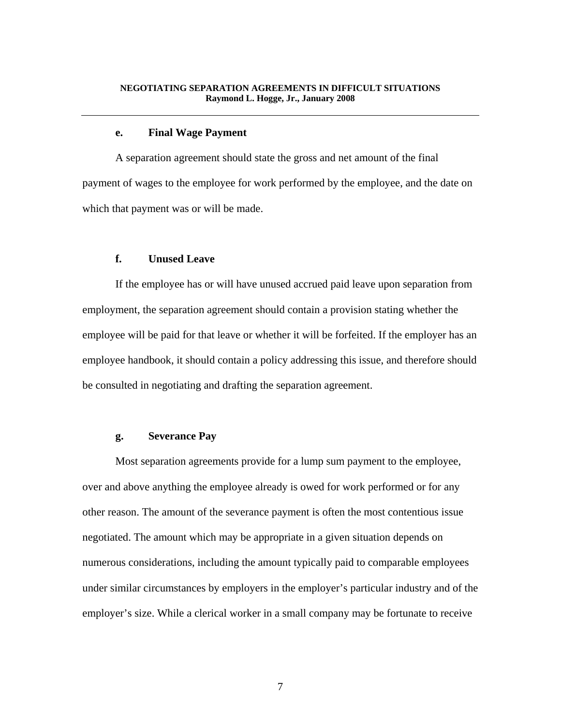#### **e. Final Wage Payment**

 A separation agreement should state the gross and net amount of the final payment of wages to the employee for work performed by the employee, and the date on which that payment was or will be made.

## **f. Unused Leave**

 If the employee has or will have unused accrued paid leave upon separation from employment, the separation agreement should contain a provision stating whether the employee will be paid for that leave or whether it will be forfeited. If the employer has an employee handbook, it should contain a policy addressing this issue, and therefore should be consulted in negotiating and drafting the separation agreement.

## **g. Severance Pay**

 Most separation agreements provide for a lump sum payment to the employee, over and above anything the employee already is owed for work performed or for any other reason. The amount of the severance payment is often the most contentious issue negotiated. The amount which may be appropriate in a given situation depends on numerous considerations, including the amount typically paid to comparable employees under similar circumstances by employers in the employer's particular industry and of the employer's size. While a clerical worker in a small company may be fortunate to receive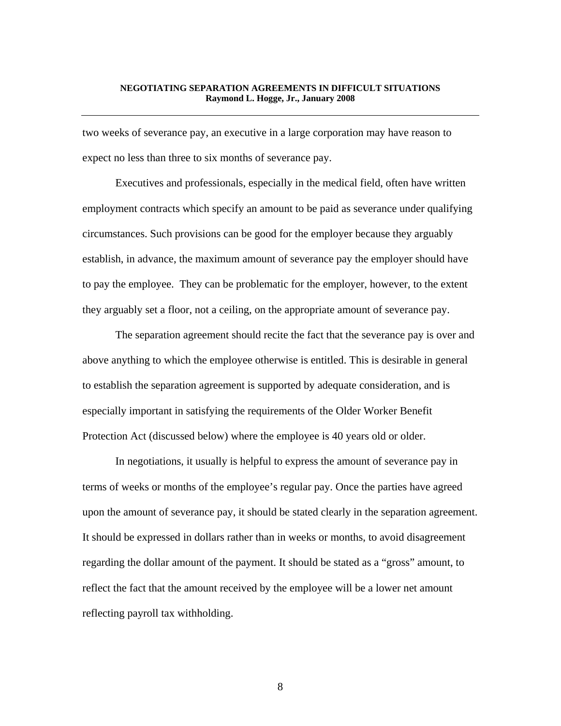two weeks of severance pay, an executive in a large corporation may have reason to expect no less than three to six months of severance pay.

 Executives and professionals, especially in the medical field, often have written employment contracts which specify an amount to be paid as severance under qualifying circumstances. Such provisions can be good for the employer because they arguably establish, in advance, the maximum amount of severance pay the employer should have to pay the employee. They can be problematic for the employer, however, to the extent they arguably set a floor, not a ceiling, on the appropriate amount of severance pay.

 The separation agreement should recite the fact that the severance pay is over and above anything to which the employee otherwise is entitled. This is desirable in general to establish the separation agreement is supported by adequate consideration, and is especially important in satisfying the requirements of the Older Worker Benefit Protection Act (discussed below) where the employee is 40 years old or older.

 In negotiations, it usually is helpful to express the amount of severance pay in terms of weeks or months of the employee's regular pay. Once the parties have agreed upon the amount of severance pay, it should be stated clearly in the separation agreement. It should be expressed in dollars rather than in weeks or months, to avoid disagreement regarding the dollar amount of the payment. It should be stated as a "gross" amount, to reflect the fact that the amount received by the employee will be a lower net amount reflecting payroll tax withholding.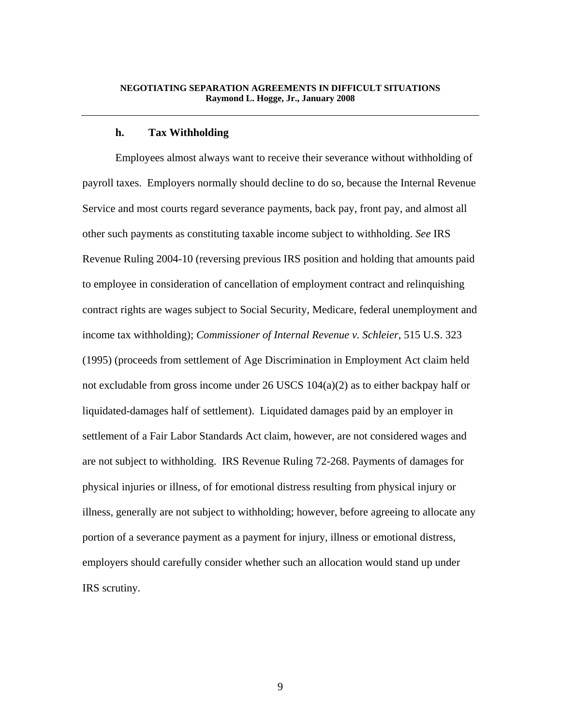#### **h. Tax Withholding**

 Employees almost always want to receive their severance without withholding of payroll taxes. Employers normally should decline to do so, because the Internal Revenue Service and most courts regard severance payments, back pay, front pay, and almost all other such payments as constituting taxable income subject to withholding. *See* IRS Revenue Ruling 2004-10 (reversing previous IRS position and holding that amounts paid to employee in consideration of cancellation of employment contract and relinquishing contract rights are wages subject to Social Security, Medicare, federal unemployment and income tax withholding); *Commissioner of Internal Revenue v. Schleier*, 515 U.S. 323 (1995) (proceeds from settlement of Age Discrimination in Employment Act claim held not excludable from gross income under 26 USCS 104(a)(2) as to either backpay half or liquidated-damages half of settlement). Liquidated damages paid by an employer in settlement of a Fair Labor Standards Act claim, however, are not considered wages and are not subject to withholding. IRS Revenue Ruling 72-268. Payments of damages for physical injuries or illness, of for emotional distress resulting from physical injury or illness, generally are not subject to withholding; however, before agreeing to allocate any portion of a severance payment as a payment for injury, illness or emotional distress, employers should carefully consider whether such an allocation would stand up under IRS scrutiny.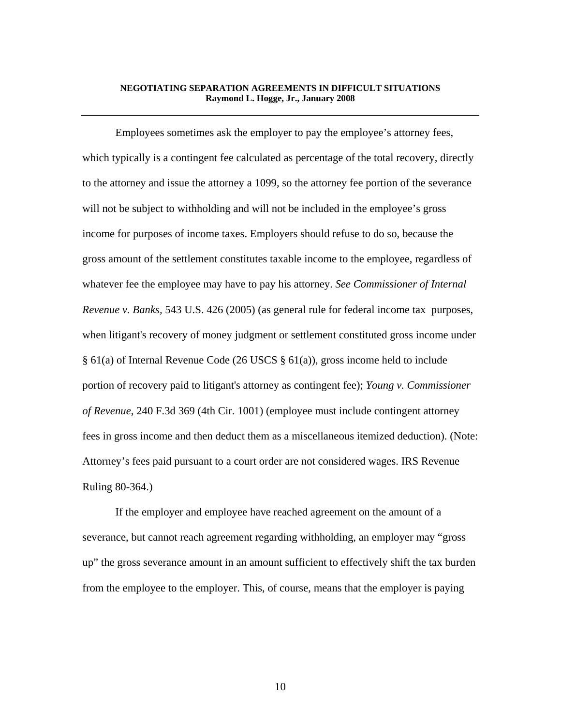Employees sometimes ask the employer to pay the employee's attorney fees, which typically is a contingent fee calculated as percentage of the total recovery, directly to the attorney and issue the attorney a 1099, so the attorney fee portion of the severance will not be subject to withholding and will not be included in the employee's gross income for purposes of income taxes. Employers should refuse to do so, because the gross amount of the settlement constitutes taxable income to the employee, regardless of whatever fee the employee may have to pay his attorney. *See Commissioner of Internal Revenue v. Banks,* 543 U.S. 426 (2005) (as general rule for federal income tax purposes, when litigant's recovery of money judgment or settlement constituted gross income under § 61(a) of Internal Revenue Code (26 USCS § 61(a)), gross income held to include portion of recovery paid to litigant's attorney as contingent fee); *Young v. Commissioner of Revenue*, 240 F.3d 369 (4th Cir. 1001) (employee must include contingent attorney fees in gross income and then deduct them as a miscellaneous itemized deduction). (Note: Attorney's fees paid pursuant to a court order are not considered wages. IRS Revenue Ruling 80-364.)

 If the employer and employee have reached agreement on the amount of a severance, but cannot reach agreement regarding withholding, an employer may "gross up" the gross severance amount in an amount sufficient to effectively shift the tax burden from the employee to the employer. This, of course, means that the employer is paying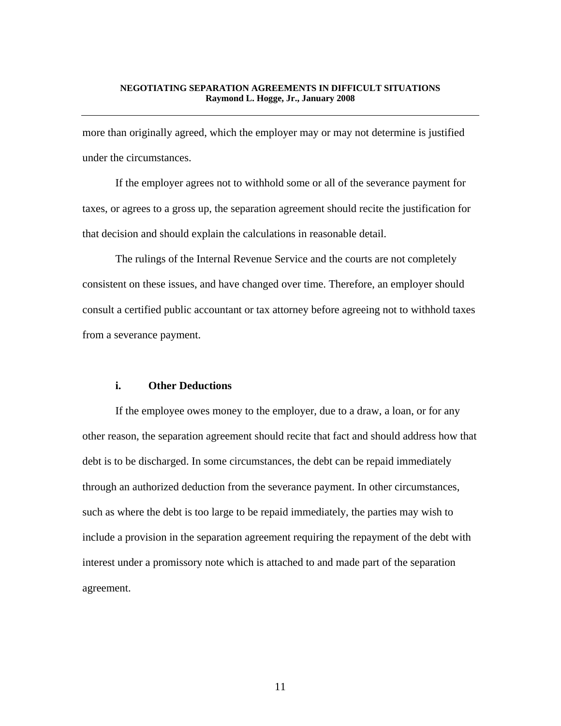more than originally agreed, which the employer may or may not determine is justified under the circumstances.

 If the employer agrees not to withhold some or all of the severance payment for taxes, or agrees to a gross up, the separation agreement should recite the justification for that decision and should explain the calculations in reasonable detail.

 The rulings of the Internal Revenue Service and the courts are not completely consistent on these issues, and have changed over time. Therefore, an employer should consult a certified public accountant or tax attorney before agreeing not to withhold taxes from a severance payment.

# **i. Other Deductions**

 If the employee owes money to the employer, due to a draw, a loan, or for any other reason, the separation agreement should recite that fact and should address how that debt is to be discharged. In some circumstances, the debt can be repaid immediately through an authorized deduction from the severance payment. In other circumstances, such as where the debt is too large to be repaid immediately, the parties may wish to include a provision in the separation agreement requiring the repayment of the debt with interest under a promissory note which is attached to and made part of the separation agreement.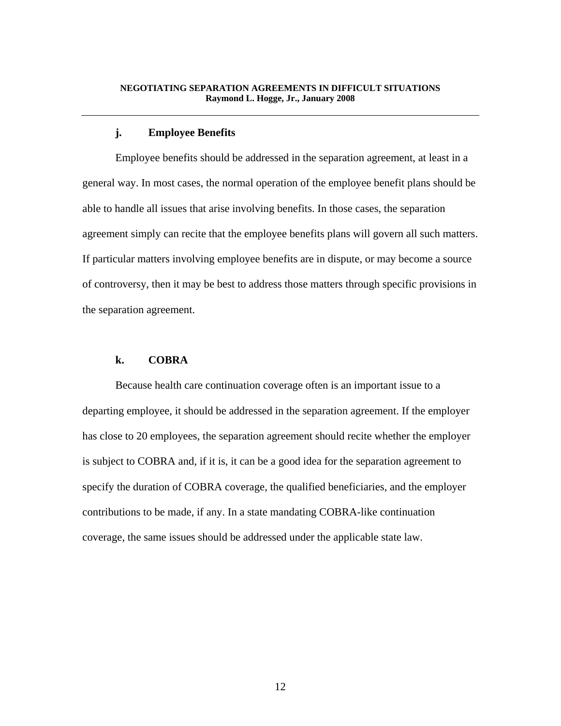## **j. Employee Benefits**

 Employee benefits should be addressed in the separation agreement, at least in a general way. In most cases, the normal operation of the employee benefit plans should be able to handle all issues that arise involving benefits. In those cases, the separation agreement simply can recite that the employee benefits plans will govern all such matters. If particular matters involving employee benefits are in dispute, or may become a source of controversy, then it may be best to address those matters through specific provisions in the separation agreement.

# **k. COBRA**

 Because health care continuation coverage often is an important issue to a departing employee, it should be addressed in the separation agreement. If the employer has close to 20 employees, the separation agreement should recite whether the employer is subject to COBRA and, if it is, it can be a good idea for the separation agreement to specify the duration of COBRA coverage, the qualified beneficiaries, and the employer contributions to be made, if any. In a state mandating COBRA-like continuation coverage, the same issues should be addressed under the applicable state law.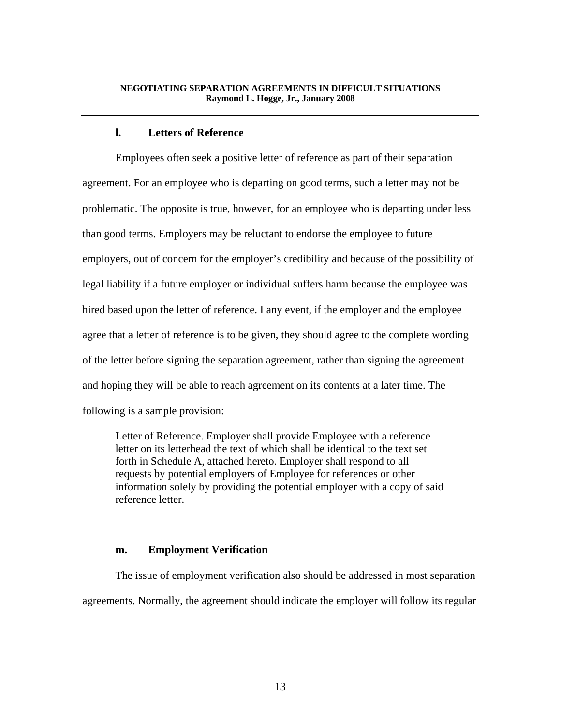# **l. Letters of Reference**

 Employees often seek a positive letter of reference as part of their separation agreement. For an employee who is departing on good terms, such a letter may not be problematic. The opposite is true, however, for an employee who is departing under less than good terms. Employers may be reluctant to endorse the employee to future employers, out of concern for the employer's credibility and because of the possibility of legal liability if a future employer or individual suffers harm because the employee was hired based upon the letter of reference. I any event, if the employer and the employee agree that a letter of reference is to be given, they should agree to the complete wording of the letter before signing the separation agreement, rather than signing the agreement and hoping they will be able to reach agreement on its contents at a later time. The following is a sample provision:

Letter of Reference. Employer shall provide Employee with a reference letter on its letterhead the text of which shall be identical to the text set forth in Schedule A, attached hereto. Employer shall respond to all requests by potential employers of Employee for references or other information solely by providing the potential employer with a copy of said reference letter.

## **m. Employment Verification**

 The issue of employment verification also should be addressed in most separation agreements. Normally, the agreement should indicate the employer will follow its regular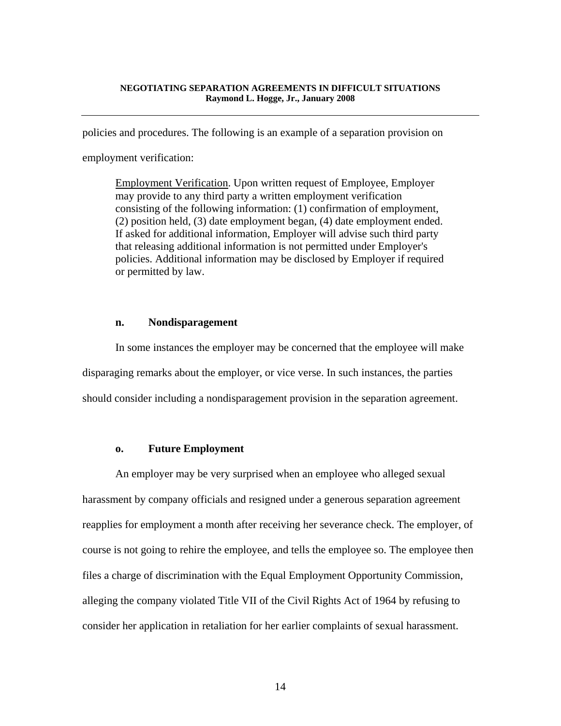policies and procedures. The following is an example of a separation provision on

employment verification:

Employment Verification. Upon written request of Employee, Employer may provide to any third party a written employment verification consisting of the following information: (1) confirmation of employment, (2) position held, (3) date employment began, (4) date employment ended. If asked for additional information, Employer will advise such third party that releasing additional information is not permitted under Employer's policies. Additional information may be disclosed by Employer if required or permitted by law.

## **n. Nondisparagement**

 In some instances the employer may be concerned that the employee will make disparaging remarks about the employer, or vice verse. In such instances, the parties should consider including a nondisparagement provision in the separation agreement.

#### **o. Future Employment**

 An employer may be very surprised when an employee who alleged sexual harassment by company officials and resigned under a generous separation agreement reapplies for employment a month after receiving her severance check. The employer, of course is not going to rehire the employee, and tells the employee so. The employee then files a charge of discrimination with the Equal Employment Opportunity Commission, alleging the company violated Title VII of the Civil Rights Act of 1964 by refusing to consider her application in retaliation for her earlier complaints of sexual harassment.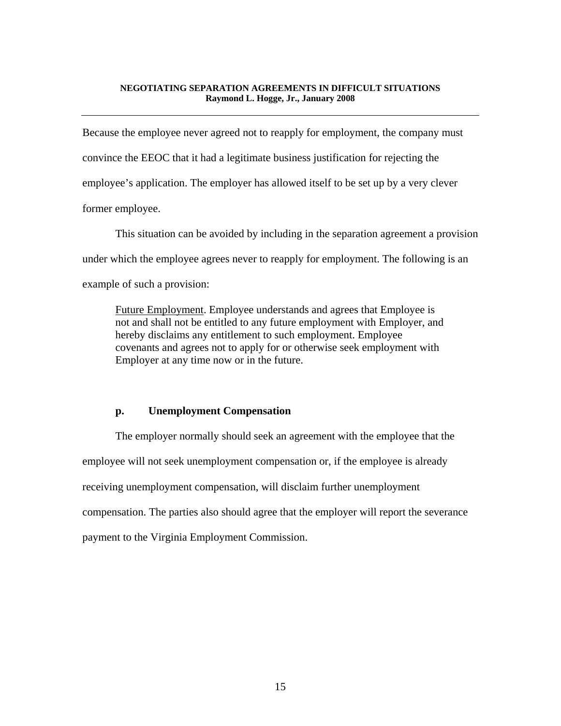Because the employee never agreed not to reapply for employment, the company must convince the EEOC that it had a legitimate business justification for rejecting the employee's application. The employer has allowed itself to be set up by a very clever former employee.

 This situation can be avoided by including in the separation agreement a provision under which the employee agrees never to reapply for employment. The following is an example of such a provision:

Future Employment. Employee understands and agrees that Employee is not and shall not be entitled to any future employment with Employer, and hereby disclaims any entitlement to such employment. Employee covenants and agrees not to apply for or otherwise seek employment with Employer at any time now or in the future.

## **p. Unemployment Compensation**

 The employer normally should seek an agreement with the employee that the employee will not seek unemployment compensation or, if the employee is already receiving unemployment compensation, will disclaim further unemployment compensation. The parties also should agree that the employer will report the severance payment to the Virginia Employment Commission.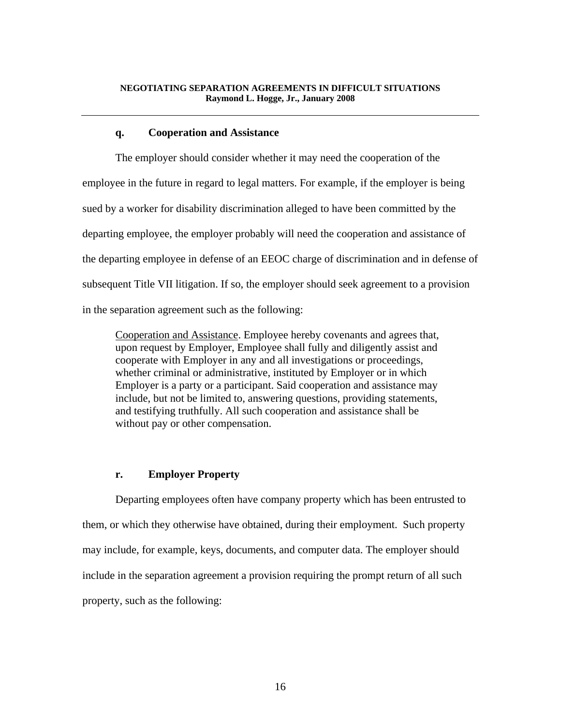## **q. Cooperation and Assistance**

 The employer should consider whether it may need the cooperation of the employee in the future in regard to legal matters. For example, if the employer is being sued by a worker for disability discrimination alleged to have been committed by the departing employee, the employer probably will need the cooperation and assistance of the departing employee in defense of an EEOC charge of discrimination and in defense of subsequent Title VII litigation. If so, the employer should seek agreement to a provision in the separation agreement such as the following:

Cooperation and Assistance. Employee hereby covenants and agrees that, upon request by Employer, Employee shall fully and diligently assist and cooperate with Employer in any and all investigations or proceedings, whether criminal or administrative, instituted by Employer or in which Employer is a party or a participant. Said cooperation and assistance may include, but not be limited to, answering questions, providing statements, and testifying truthfully. All such cooperation and assistance shall be without pay or other compensation.

# **r. Employer Property**

 Departing employees often have company property which has been entrusted to them, or which they otherwise have obtained, during their employment. Such property may include, for example, keys, documents, and computer data. The employer should include in the separation agreement a provision requiring the prompt return of all such property, such as the following: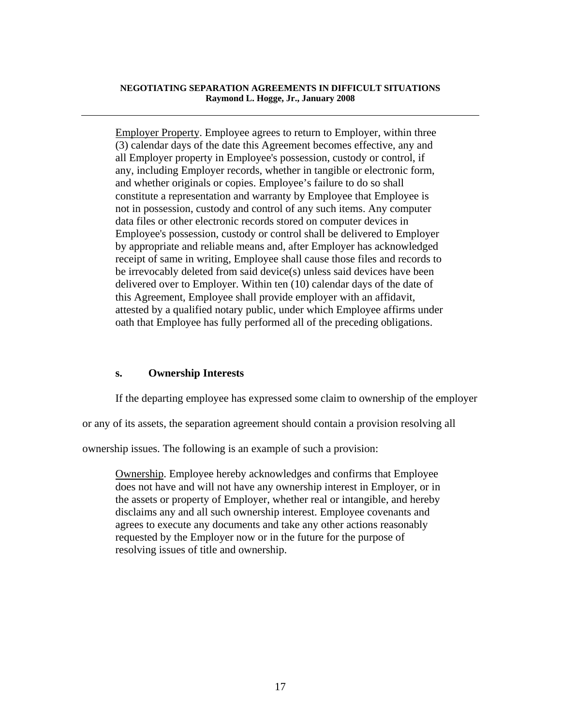Employer Property. Employee agrees to return to Employer, within three (3) calendar days of the date this Agreement becomes effective, any and all Employer property in Employee's possession, custody or control, if any, including Employer records, whether in tangible or electronic form, and whether originals or copies. Employee's failure to do so shall constitute a representation and warranty by Employee that Employee is not in possession, custody and control of any such items. Any computer data files or other electronic records stored on computer devices in Employee's possession, custody or control shall be delivered to Employer by appropriate and reliable means and, after Employer has acknowledged receipt of same in writing, Employee shall cause those files and records to be irrevocably deleted from said device(s) unless said devices have been delivered over to Employer. Within ten (10) calendar days of the date of this Agreement, Employee shall provide employer with an affidavit, attested by a qualified notary public, under which Employee affirms under oath that Employee has fully performed all of the preceding obligations.

# **s. Ownership Interests**

If the departing employee has expressed some claim to ownership of the employer

or any of its assets, the separation agreement should contain a provision resolving all

ownership issues. The following is an example of such a provision:

Ownership. Employee hereby acknowledges and confirms that Employee does not have and will not have any ownership interest in Employer, or in the assets or property of Employer, whether real or intangible, and hereby disclaims any and all such ownership interest. Employee covenants and agrees to execute any documents and take any other actions reasonably requested by the Employer now or in the future for the purpose of resolving issues of title and ownership.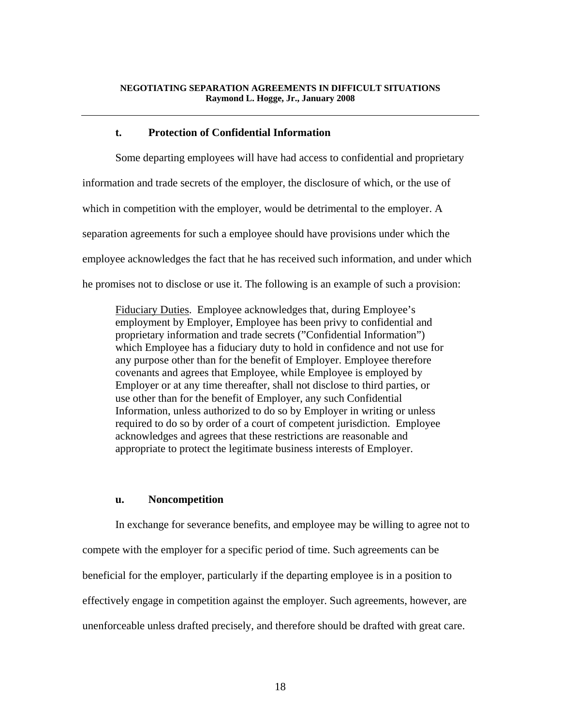## **t. Protection of Confidential Information**

 Some departing employees will have had access to confidential and proprietary information and trade secrets of the employer, the disclosure of which, or the use of which in competition with the employer, would be detrimental to the employer. A separation agreements for such a employee should have provisions under which the employee acknowledges the fact that he has received such information, and under which he promises not to disclose or use it. The following is an example of such a provision:

Fiduciary Duties. Employee acknowledges that, during Employee's employment by Employer, Employee has been privy to confidential and proprietary information and trade secrets ("Confidential Information") which Employee has a fiduciary duty to hold in confidence and not use for any purpose other than for the benefit of Employer. Employee therefore covenants and agrees that Employee, while Employee is employed by Employer or at any time thereafter, shall not disclose to third parties, or use other than for the benefit of Employer, any such Confidential Information, unless authorized to do so by Employer in writing or unless required to do so by order of a court of competent jurisdiction. Employee acknowledges and agrees that these restrictions are reasonable and appropriate to protect the legitimate business interests of Employer.

#### **u. Noncompetition**

 In exchange for severance benefits, and employee may be willing to agree not to compete with the employer for a specific period of time. Such agreements can be beneficial for the employer, particularly if the departing employee is in a position to effectively engage in competition against the employer. Such agreements, however, are unenforceable unless drafted precisely, and therefore should be drafted with great care.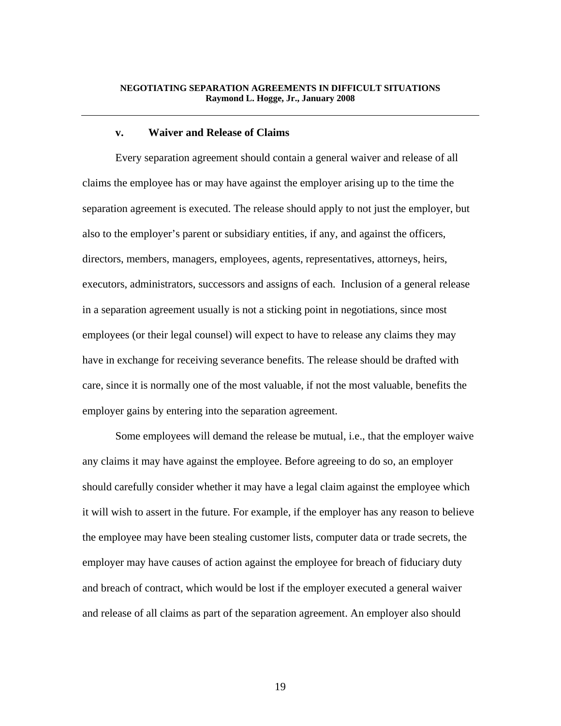#### **v. Waiver and Release of Claims**

 Every separation agreement should contain a general waiver and release of all claims the employee has or may have against the employer arising up to the time the separation agreement is executed. The release should apply to not just the employer, but also to the employer's parent or subsidiary entities, if any, and against the officers, directors, members, managers, employees, agents, representatives, attorneys, heirs, executors, administrators, successors and assigns of each. Inclusion of a general release in a separation agreement usually is not a sticking point in negotiations, since most employees (or their legal counsel) will expect to have to release any claims they may have in exchange for receiving severance benefits. The release should be drafted with care, since it is normally one of the most valuable, if not the most valuable, benefits the employer gains by entering into the separation agreement.

 Some employees will demand the release be mutual, i.e., that the employer waive any claims it may have against the employee. Before agreeing to do so, an employer should carefully consider whether it may have a legal claim against the employee which it will wish to assert in the future. For example, if the employer has any reason to believe the employee may have been stealing customer lists, computer data or trade secrets, the employer may have causes of action against the employee for breach of fiduciary duty and breach of contract, which would be lost if the employer executed a general waiver and release of all claims as part of the separation agreement. An employer also should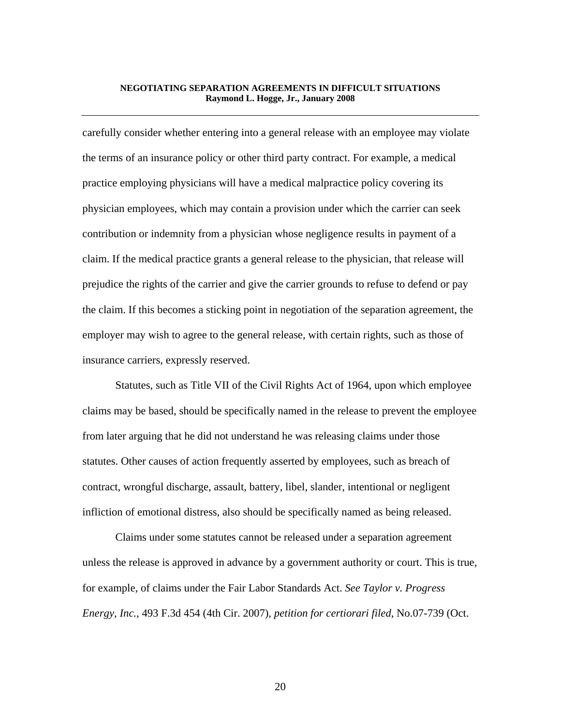carefully consider whether entering into a general release with an employee may violate the terms of an insurance policy or other third party contract. For example, a medical practice employing physicians will have a medical malpractice policy covering its physician employees, which may contain a provision under which the carrier can seek contribution or indemnity from a physician whose negligence results in payment of a claim. If the medical practice grants a general release to the physician, that release will prejudice the rights of the carrier and give the carrier grounds to refuse to defend or pay the claim. If this becomes a sticking point in negotiation of the separation agreement, the employer may wish to agree to the general release, with certain rights, such as those of insurance carriers, expressly reserved.

 Statutes, such as Title VII of the Civil Rights Act of 1964, upon which employee claims may be based, should be specifically named in the release to prevent the employee from later arguing that he did not understand he was releasing claims under those statutes. Other causes of action frequently asserted by employees, such as breach of contract, wrongful discharge, assault, battery, libel, slander, intentional or negligent infliction of emotional distress, also should be specifically named as being released.

 Claims under some statutes cannot be released under a separation agreement unless the release is approved in advance by a government authority or court. This is true, for example, of claims under the Fair Labor Standards Act. *See Taylor v. Progress Energy, Inc.*, 493 F.3d 454 (4th Cir. 2007), *petition for certiorari filed*, No.07-739 (Oct.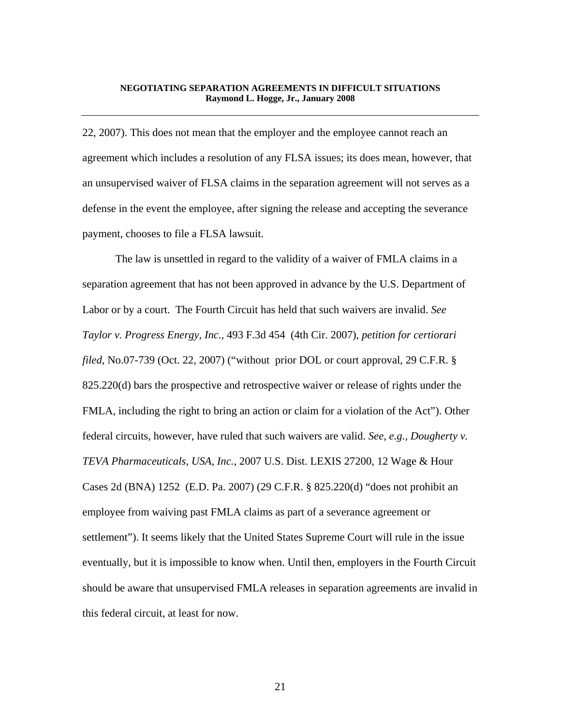22, 2007). This does not mean that the employer and the employee cannot reach an agreement which includes a resolution of any FLSA issues; its does mean, however, that an unsupervised waiver of FLSA claims in the separation agreement will not serves as a defense in the event the employee, after signing the release and accepting the severance payment, chooses to file a FLSA lawsuit.

 The law is unsettled in regard to the validity of a waiver of FMLA claims in a separation agreement that has not been approved in advance by the U.S. Department of Labor or by a court. The Fourth Circuit has held that such waivers are invalid. *See Taylor v. Progress Energy, Inc.,* 493 F.3d 454 (4th Cir. 2007), *petition for certiorari filed*, No.07-739 (Oct. 22, 2007) ("without prior DOL or court approval, 29 C.F.R. § 825.220(d) bars the prospective and retrospective waiver or release of rights under the FMLA, including the right to bring an action or claim for a violation of the Act"). Other federal circuits, however, have ruled that such waivers are valid. *See, e.g., Dougherty v. TEVA Pharmaceuticals, USA, Inc.*, 2007 U.S. Dist. LEXIS 27200, 12 Wage & Hour Cases 2d (BNA) 1252 (E.D. Pa. 2007) (29 C.F.R. § 825.220(d) "does not prohibit an employee from waiving past FMLA claims as part of a severance agreement or settlement"). It seems likely that the United States Supreme Court will rule in the issue eventually, but it is impossible to know when. Until then, employers in the Fourth Circuit should be aware that unsupervised FMLA releases in separation agreements are invalid in this federal circuit, at least for now.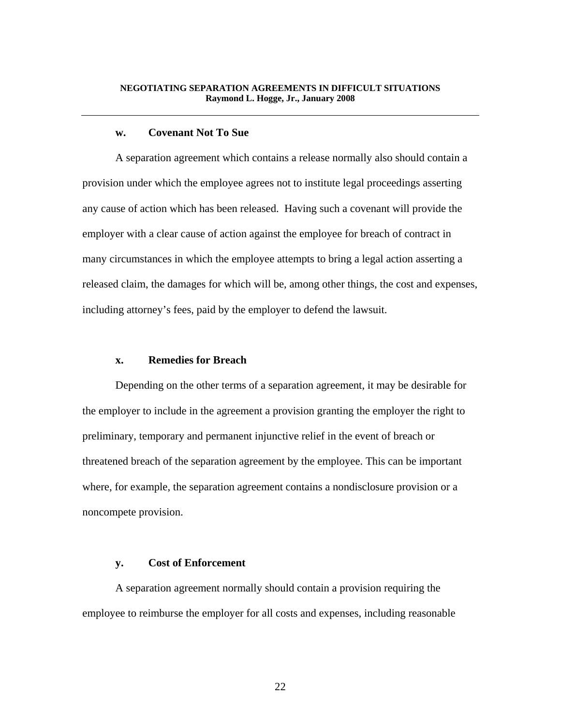## **w. Covenant Not To Sue**

 A separation agreement which contains a release normally also should contain a provision under which the employee agrees not to institute legal proceedings asserting any cause of action which has been released. Having such a covenant will provide the employer with a clear cause of action against the employee for breach of contract in many circumstances in which the employee attempts to bring a legal action asserting a released claim, the damages for which will be, among other things, the cost and expenses, including attorney's fees, paid by the employer to defend the lawsuit.

#### **x. Remedies for Breach**

 Depending on the other terms of a separation agreement, it may be desirable for the employer to include in the agreement a provision granting the employer the right to preliminary, temporary and permanent injunctive relief in the event of breach or threatened breach of the separation agreement by the employee. This can be important where, for example, the separation agreement contains a nondisclosure provision or a noncompete provision.

#### **y. Cost of Enforcement**

 A separation agreement normally should contain a provision requiring the employee to reimburse the employer for all costs and expenses, including reasonable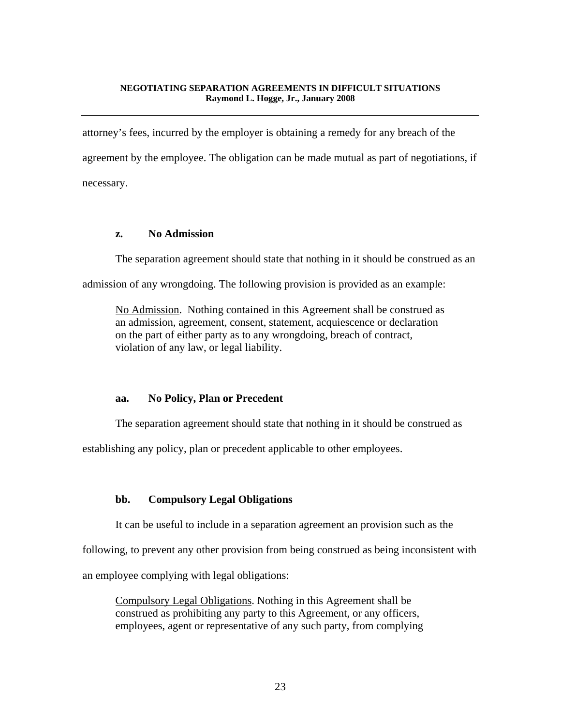attorney's fees, incurred by the employer is obtaining a remedy for any breach of the agreement by the employee. The obligation can be made mutual as part of negotiations, if necessary.

## **z. No Admission**

The separation agreement should state that nothing in it should be construed as an

admission of any wrongdoing. The following provision is provided as an example:

No Admission. Nothing contained in this Agreement shall be construed as an admission, agreement, consent, statement, acquiescence or declaration on the part of either party as to any wrongdoing, breach of contract, violation of any law, or legal liability.

## **aa. No Policy, Plan or Precedent**

The separation agreement should state that nothing in it should be construed as

establishing any policy, plan or precedent applicable to other employees.

# **bb. Compulsory Legal Obligations**

It can be useful to include in a separation agreement an provision such as the

following, to prevent any other provision from being construed as being inconsistent with

an employee complying with legal obligations:

Compulsory Legal Obligations. Nothing in this Agreement shall be construed as prohibiting any party to this Agreement, or any officers, employees, agent or representative of any such party, from complying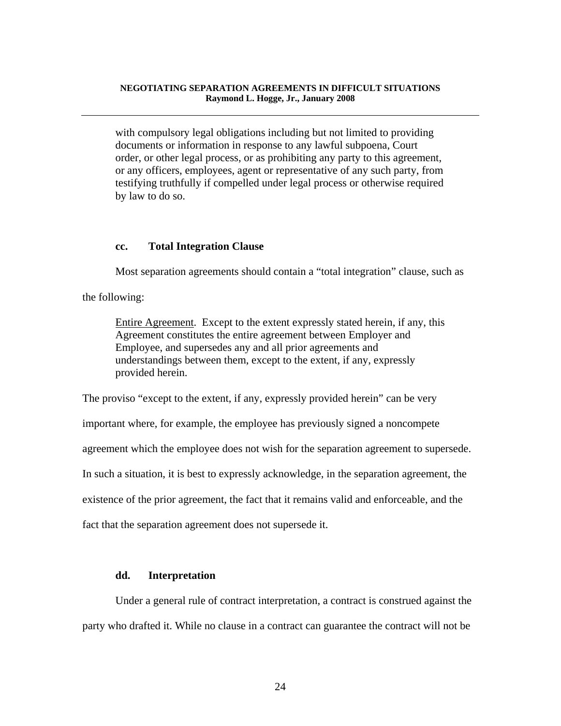with compulsory legal obligations including but not limited to providing documents or information in response to any lawful subpoena, Court order, or other legal process, or as prohibiting any party to this agreement, or any officers, employees, agent or representative of any such party, from testifying truthfully if compelled under legal process or otherwise required by law to do so.

## **cc. Total Integration Clause**

Most separation agreements should contain a "total integration" clause, such as

the following:

Entire Agreement. Except to the extent expressly stated herein, if any, this Agreement constitutes the entire agreement between Employer and Employee, and supersedes any and all prior agreements and understandings between them, except to the extent, if any, expressly provided herein.

The proviso "except to the extent, if any, expressly provided herein" can be very

important where, for example, the employee has previously signed a noncompete

agreement which the employee does not wish for the separation agreement to supersede.

In such a situation, it is best to expressly acknowledge, in the separation agreement, the

existence of the prior agreement, the fact that it remains valid and enforceable, and the

fact that the separation agreement does not supersede it.

#### **dd. Interpretation**

 Under a general rule of contract interpretation, a contract is construed against the party who drafted it. While no clause in a contract can guarantee the contract will not be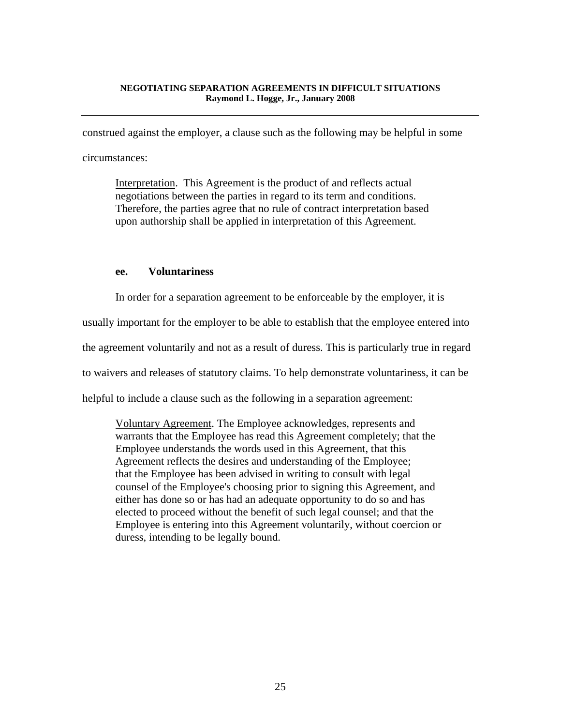construed against the employer, a clause such as the following may be helpful in some

circumstances:

Interpretation. This Agreement is the product of and reflects actual negotiations between the parties in regard to its term and conditions. Therefore, the parties agree that no rule of contract interpretation based upon authorship shall be applied in interpretation of this Agreement.

## **ee. Voluntariness**

In order for a separation agreement to be enforceable by the employer, it is

usually important for the employer to be able to establish that the employee entered into

the agreement voluntarily and not as a result of duress. This is particularly true in regard

to waivers and releases of statutory claims. To help demonstrate voluntariness, it can be

helpful to include a clause such as the following in a separation agreement:

Voluntary Agreement. The Employee acknowledges, represents and warrants that the Employee has read this Agreement completely; that the Employee understands the words used in this Agreement, that this Agreement reflects the desires and understanding of the Employee; that the Employee has been advised in writing to consult with legal counsel of the Employee's choosing prior to signing this Agreement, and either has done so or has had an adequate opportunity to do so and has elected to proceed without the benefit of such legal counsel; and that the Employee is entering into this Agreement voluntarily, without coercion or duress, intending to be legally bound.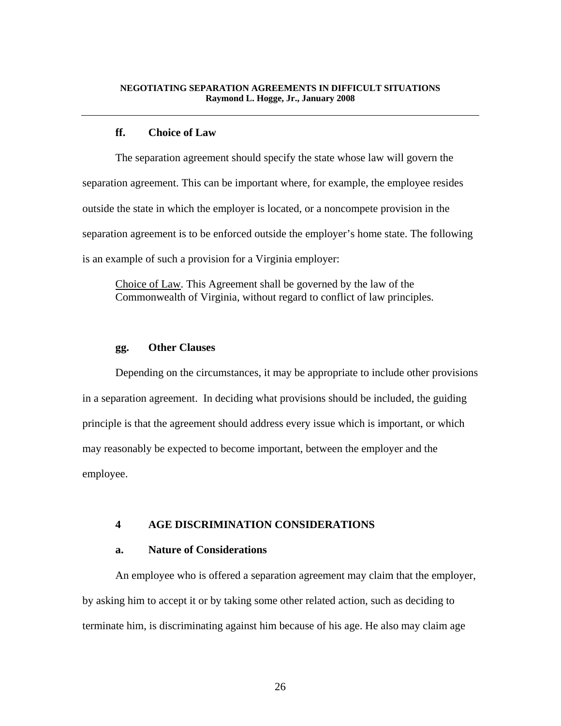# **ff. Choice of Law**

 The separation agreement should specify the state whose law will govern the separation agreement. This can be important where, for example, the employee resides outside the state in which the employer is located, or a noncompete provision in the separation agreement is to be enforced outside the employer's home state. The following is an example of such a provision for a Virginia employer:

Choice of Law. This Agreement shall be governed by the law of the Commonwealth of Virginia, without regard to conflict of law principles.

# **gg. Other Clauses**

 Depending on the circumstances, it may be appropriate to include other provisions in a separation agreement. In deciding what provisions should be included, the guiding principle is that the agreement should address every issue which is important, or which may reasonably be expected to become important, between the employer and the employee.

## **4 AGE DISCRIMINATION CONSIDERATIONS**

## **a. Nature of Considerations**

 An employee who is offered a separation agreement may claim that the employer, by asking him to accept it or by taking some other related action, such as deciding to terminate him, is discriminating against him because of his age. He also may claim age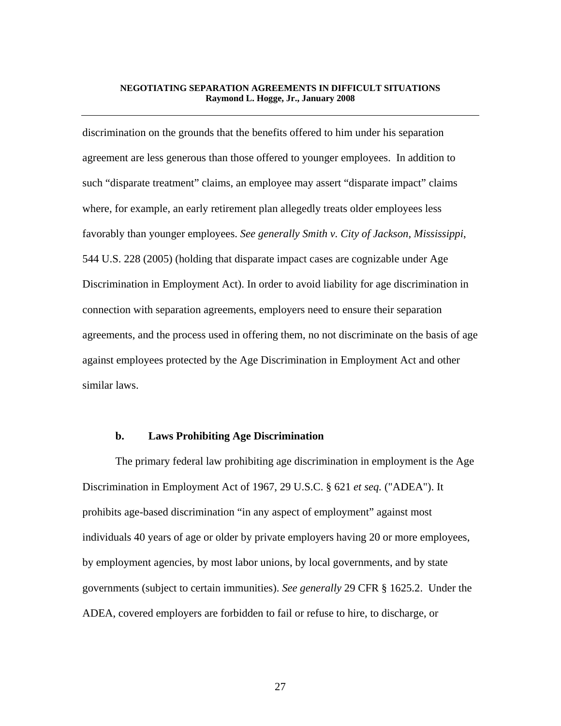discrimination on the grounds that the benefits offered to him under his separation agreement are less generous than those offered to younger employees. In addition to such "disparate treatment" claims, an employee may assert "disparate impact" claims where, for example, an early retirement plan allegedly treats older employees less favorably than younger employees. *See generally Smith v. City of Jackson, Mississippi*, 544 U.S. 228 (2005) (holding that disparate impact cases are cognizable under Age Discrimination in Employment Act). In order to avoid liability for age discrimination in connection with separation agreements, employers need to ensure their separation agreements, and the process used in offering them, no not discriminate on the basis of age against employees protected by the Age Discrimination in Employment Act and other similar laws.

#### **b. Laws Prohibiting Age Discrimination**

 The primary federal law prohibiting age discrimination in employment is the Age Discrimination in Employment Act of 1967, 29 U.S.C. § 621 *et seq.* ("ADEA"). It prohibits age-based discrimination "in any aspect of employment" against most individuals 40 years of age or older by private employers having 20 or more employees, by employment agencies, by most labor unions, by local governments, and by state governments (subject to certain immunities). *See generally* 29 CFR § 1625.2. Under the ADEA, covered employers are forbidden to fail or refuse to hire, to discharge, or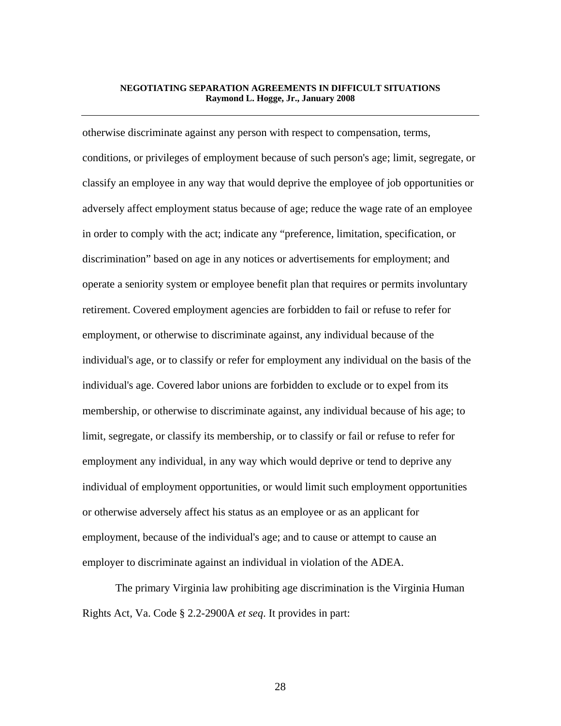otherwise discriminate against any person with respect to compensation, terms, conditions, or privileges of employment because of such person's age; limit, segregate, or classify an employee in any way that would deprive the employee of job opportunities or adversely affect employment status because of age; reduce the wage rate of an employee in order to comply with the act; indicate any "preference, limitation, specification, or discrimination" based on age in any notices or advertisements for employment; and operate a seniority system or employee benefit plan that requires or permits involuntary retirement. Covered employment agencies are forbidden to fail or refuse to refer for employment, or otherwise to discriminate against, any individual because of the individual's age, or to classify or refer for employment any individual on the basis of the individual's age. Covered labor unions are forbidden to exclude or to expel from its membership, or otherwise to discriminate against, any individual because of his age; to limit, segregate, or classify its membership, or to classify or fail or refuse to refer for employment any individual, in any way which would deprive or tend to deprive any individual of employment opportunities, or would limit such employment opportunities or otherwise adversely affect his status as an employee or as an applicant for employment, because of the individual's age; and to cause or attempt to cause an employer to discriminate against an individual in violation of the ADEA.

 The primary Virginia law prohibiting age discrimination is the Virginia Human Rights Act, Va. Code § 2.2-2900A *et seq*. It provides in part: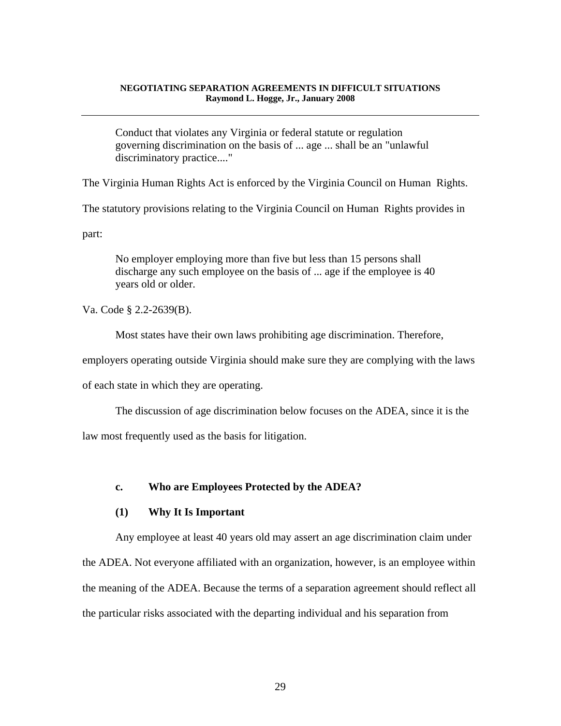Conduct that violates any Virginia or federal statute or regulation governing discrimination on the basis of ... age ... shall be an "unlawful discriminatory practice...."

The Virginia Human Rights Act is enforced by the Virginia Council on Human Rights.

The statutory provisions relating to the Virginia Council on Human Rights provides in

part:

No employer employing more than five but less than 15 persons shall discharge any such employee on the basis of ... age if the employee is 40 years old or older.

Va. Code § 2.2-2639(B).

Most states have their own laws prohibiting age discrimination. Therefore,

employers operating outside Virginia should make sure they are complying with the laws

of each state in which they are operating.

 The discussion of age discrimination below focuses on the ADEA, since it is the law most frequently used as the basis for litigation.

# **c. Who are Employees Protected by the ADEA?**

## **(1) Why It Is Important**

 Any employee at least 40 years old may assert an age discrimination claim under the ADEA. Not everyone affiliated with an organization, however, is an employee within the meaning of the ADEA. Because the terms of a separation agreement should reflect all the particular risks associated with the departing individual and his separation from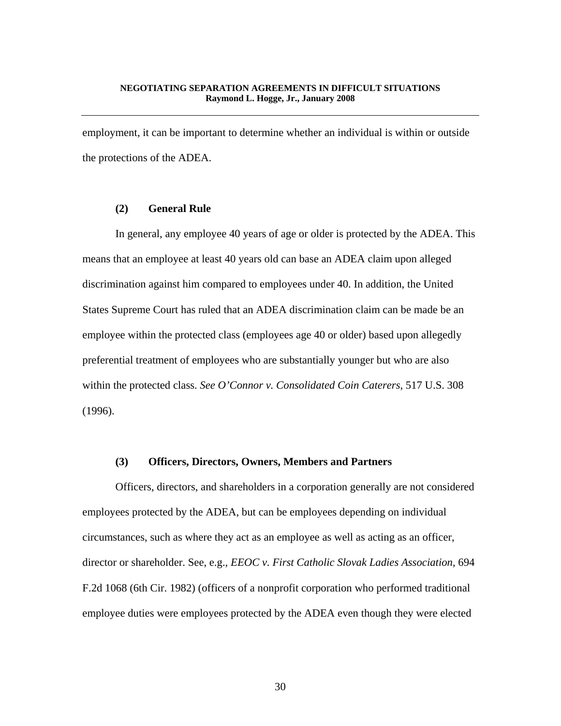employment, it can be important to determine whether an individual is within or outside the protections of the ADEA.

# **(2) General Rule**

 In general, any employee 40 years of age or older is protected by the ADEA. This means that an employee at least 40 years old can base an ADEA claim upon alleged discrimination against him compared to employees under 40. In addition, the United States Supreme Court has ruled that an ADEA discrimination claim can be made be an employee within the protected class (employees age 40 or older) based upon allegedly preferential treatment of employees who are substantially younger but who are also within the protected class. *See O'Connor v. Consolidated Coin Caterers*, 517 U.S. 308 (1996).

#### **(3) Officers, Directors, Owners, Members and Partners**

 Officers, directors, and shareholders in a corporation generally are not considered employees protected by the ADEA, but can be employees depending on individual circumstances, such as where they act as an employee as well as acting as an officer, director or shareholder. See, e.g., *EEOC v. First Catholic Slovak Ladies Association*, 694 F.2d 1068 (6th Cir. 1982) (officers of a nonprofit corporation who performed traditional employee duties were employees protected by the ADEA even though they were elected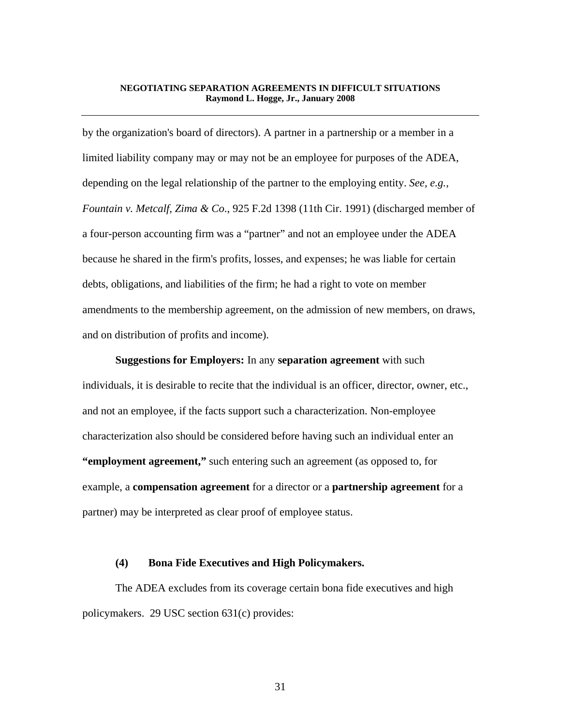by the organization's board of directors). A partner in a partnership or a member in a limited liability company may or may not be an employee for purposes of the ADEA, depending on the legal relationship of the partner to the employing entity. *See, e.g., Fountain v. Metcalf, Zima & Co*., 925 F.2d 1398 (11th Cir. 1991) (discharged member of a four-person accounting firm was a "partner" and not an employee under the ADEA because he shared in the firm's profits, losses, and expenses; he was liable for certain debts, obligations, and liabilities of the firm; he had a right to vote on member amendments to the membership agreement, on the admission of new members, on draws, and on distribution of profits and income).

**Suggestions for Employers:** In any **separation agreement** with such individuals, it is desirable to recite that the individual is an officer, director, owner, etc., and not an employee, if the facts support such a characterization. Non-employee characterization also should be considered before having such an individual enter an **"employment agreement,"** such entering such an agreement (as opposed to, for example, a **compensation agreement** for a director or a **partnership agreement** for a partner) may be interpreted as clear proof of employee status.

#### **(4) Bona Fide Executives and High Policymakers.**

 The ADEA excludes from its coverage certain bona fide executives and high policymakers. 29 USC section 631(c) provides: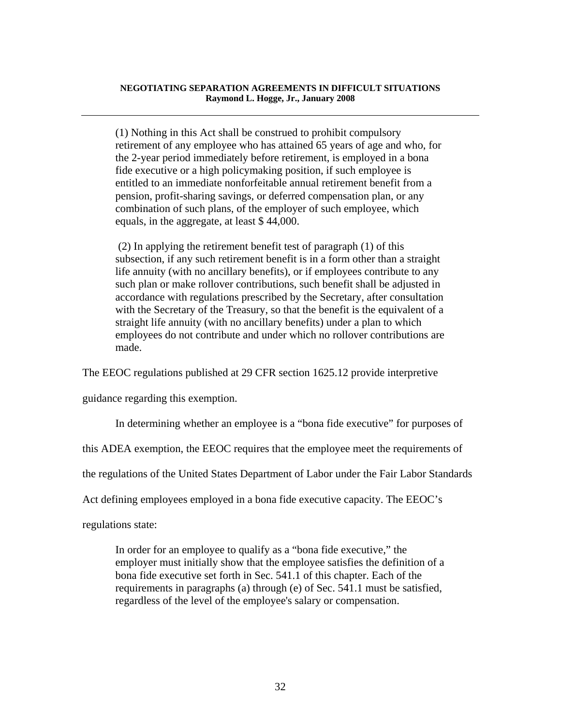(1) Nothing in this Act shall be construed to prohibit compulsory retirement of any employee who has attained 65 years of age and who, for the 2-year period immediately before retirement, is employed in a bona fide executive or a high policymaking position, if such employee is entitled to an immediate nonforfeitable annual retirement benefit from a pension, profit-sharing savings, or deferred compensation plan, or any combination of such plans, of the employer of such employee, which equals, in the aggregate, at least \$ 44,000.

 (2) In applying the retirement benefit test of paragraph (1) of this subsection, if any such retirement benefit is in a form other than a straight life annuity (with no ancillary benefits), or if employees contribute to any such plan or make rollover contributions, such benefit shall be adjusted in accordance with regulations prescribed by the Secretary, after consultation with the Secretary of the Treasury, so that the benefit is the equivalent of a straight life annuity (with no ancillary benefits) under a plan to which employees do not contribute and under which no rollover contributions are made.

The EEOC regulations published at 29 CFR section 1625.12 provide interpretive

guidance regarding this exemption.

In determining whether an employee is a "bona fide executive" for purposes of

this ADEA exemption, the EEOC requires that the employee meet the requirements of

the regulations of the United States Department of Labor under the Fair Labor Standards

Act defining employees employed in a bona fide executive capacity. The EEOC's

regulations state:

In order for an employee to qualify as a "bona fide executive," the employer must initially show that the employee satisfies the definition of a bona fide executive set forth in Sec. 541.1 of this chapter. Each of the requirements in paragraphs (a) through (e) of Sec. 541.1 must be satisfied, regardless of the level of the employee's salary or compensation.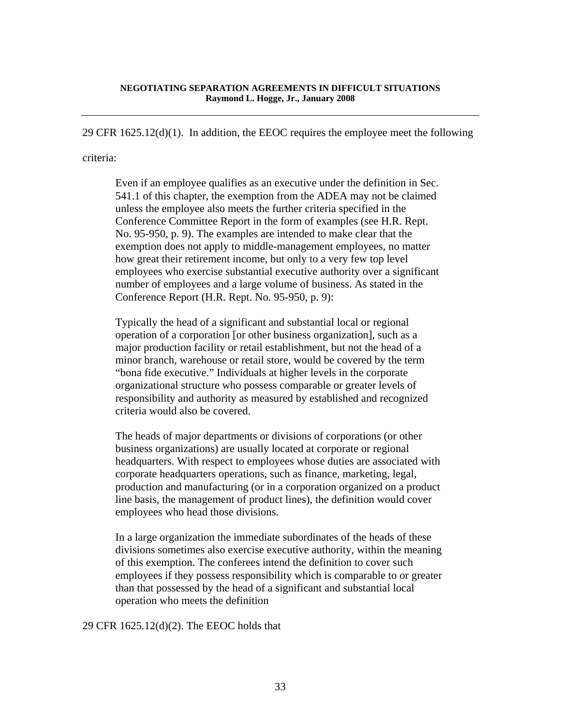29 CFR  $1625.12(d)(1)$ . In addition, the EEOC requires the employee meet the following

## criteria:

Even if an employee qualifies as an executive under the definition in Sec. 541.1 of this chapter, the exemption from the ADEA may not be claimed unless the employee also meets the further criteria specified in the Conference Committee Report in the form of examples (see H.R. Rept. No. 95-950, p. 9). The examples are intended to make clear that the exemption does not apply to middle-management employees, no matter how great their retirement income, but only to a very few top level employees who exercise substantial executive authority over a significant number of employees and a large volume of business. As stated in the Conference Report (H.R. Rept. No. 95-950, p. 9):

Typically the head of a significant and substantial local or regional operation of a corporation [or other business organization], such as a major production facility or retail establishment, but not the head of a minor branch, warehouse or retail store, would be covered by the term "bona fide executive." Individuals at higher levels in the corporate organizational structure who possess comparable or greater levels of responsibility and authority as measured by established and recognized criteria would also be covered.

The heads of major departments or divisions of corporations (or other business organizations) are usually located at corporate or regional headquarters. With respect to employees whose duties are associated with corporate headquarters operations, such as finance, marketing, legal, production and manufacturing (or in a corporation organized on a product line basis, the management of product lines), the definition would cover employees who head those divisions.

In a large organization the immediate subordinates of the heads of these divisions sometimes also exercise executive authority, within the meaning of this exemption. The conferees intend the definition to cover such employees if they possess responsibility which is comparable to or greater than that possessed by the head of a significant and substantial local operation who meets the definition

29 CFR 1625.12(d)(2). The EEOC holds that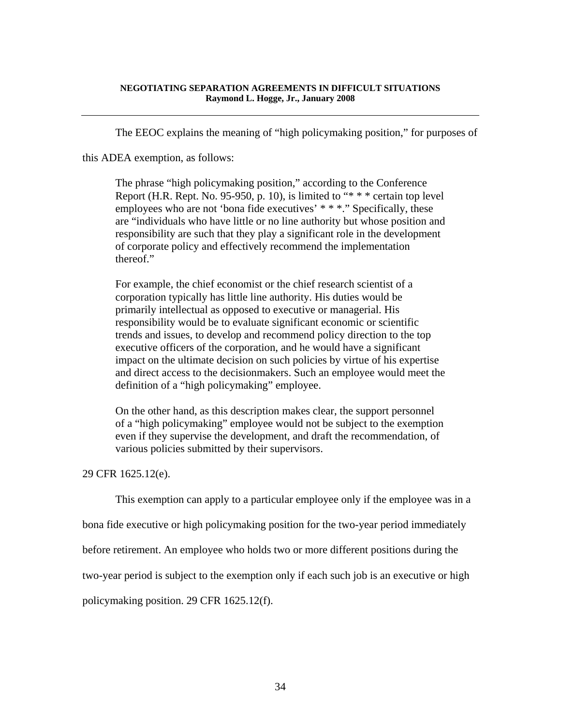The EEOC explains the meaning of "high policymaking position," for purposes of

this ADEA exemption, as follows:

The phrase "high policymaking position," according to the Conference Report (H.R. Rept. No. 95-950, p. 10), is limited to "\* \* \* certain top level employees who are not 'bona fide executives' \* \* \*." Specifically, these are "individuals who have little or no line authority but whose position and responsibility are such that they play a significant role in the development of corporate policy and effectively recommend the implementation thereof."

For example, the chief economist or the chief research scientist of a corporation typically has little line authority. His duties would be primarily intellectual as opposed to executive or managerial. His responsibility would be to evaluate significant economic or scientific trends and issues, to develop and recommend policy direction to the top executive officers of the corporation, and he would have a significant impact on the ultimate decision on such policies by virtue of his expertise and direct access to the decisionmakers. Such an employee would meet the definition of a "high policymaking" employee.

On the other hand, as this description makes clear, the support personnel of a "high policymaking" employee would not be subject to the exemption even if they supervise the development, and draft the recommendation, of various policies submitted by their supervisors.

# 29 CFR 1625.12(e).

This exemption can apply to a particular employee only if the employee was in a

bona fide executive or high policymaking position for the two-year period immediately

before retirement. An employee who holds two or more different positions during the

two-year period is subject to the exemption only if each such job is an executive or high

policymaking position. 29 CFR 1625.12(f).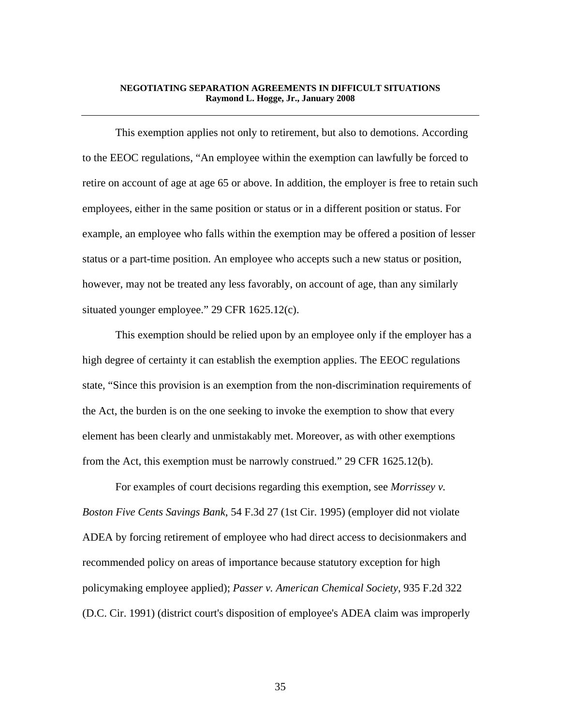This exemption applies not only to retirement, but also to demotions. According to the EEOC regulations, "An employee within the exemption can lawfully be forced to retire on account of age at age 65 or above. In addition, the employer is free to retain such employees, either in the same position or status or in a different position or status. For example, an employee who falls within the exemption may be offered a position of lesser status or a part-time position. An employee who accepts such a new status or position, however, may not be treated any less favorably, on account of age, than any similarly situated younger employee." 29 CFR 1625.12(c).

 This exemption should be relied upon by an employee only if the employer has a high degree of certainty it can establish the exemption applies. The EEOC regulations state, "Since this provision is an exemption from the non-discrimination requirements of the Act, the burden is on the one seeking to invoke the exemption to show that every element has been clearly and unmistakably met. Moreover, as with other exemptions from the Act, this exemption must be narrowly construed." 29 CFR 1625.12(b).

 For examples of court decisions regarding this exemption, see *Morrissey v. Boston Five Cents Savings Bank*, 54 F.3d 27 (1st Cir. 1995) (employer did not violate ADEA by forcing retirement of employee who had direct access to decisionmakers and recommended policy on areas of importance because statutory exception for high policymaking employee applied); *Passer v. American Chemical Society*, 935 F.2d 322 (D.C. Cir. 1991) (district court's disposition of employee's ADEA claim was improperly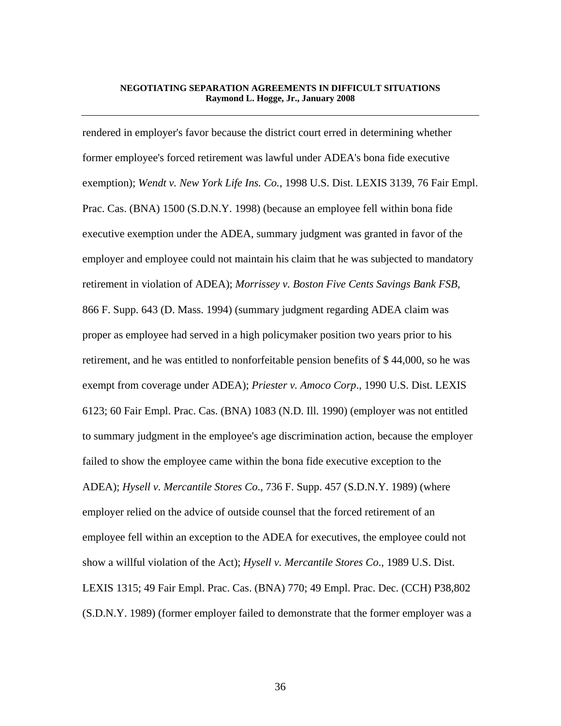rendered in employer's favor because the district court erred in determining whether former employee's forced retirement was lawful under ADEA's bona fide executive exemption); *Wendt v. New York Life Ins. Co.*, 1998 U.S. Dist. LEXIS 3139, 76 Fair Empl. Prac. Cas. (BNA) 1500 (S.D.N.Y. 1998) (because an employee fell within bona fide executive exemption under the ADEA, summary judgment was granted in favor of the employer and employee could not maintain his claim that he was subjected to mandatory retirement in violation of ADEA); *Morrissey v. Boston Five Cents Savings Bank FSB*, 866 F. Supp. 643 (D. Mass. 1994) (summary judgment regarding ADEA claim was proper as employee had served in a high policymaker position two years prior to his retirement, and he was entitled to nonforfeitable pension benefits of \$ 44,000, so he was exempt from coverage under ADEA); *Priester v. Amoco Corp*., 1990 U.S. Dist. LEXIS 6123; 60 Fair Empl. Prac. Cas. (BNA) 1083 (N.D. Ill. 1990) (employer was not entitled to summary judgment in the employee's age discrimination action, because the employer failed to show the employee came within the bona fide executive exception to the ADEA); *Hysell v. Mercantile Stores Co*., 736 F. Supp. 457 (S.D.N.Y. 1989) (where employer relied on the advice of outside counsel that the forced retirement of an employee fell within an exception to the ADEA for executives, the employee could not show a willful violation of the Act); *Hysell v. Mercantile Stores Co*., 1989 U.S. Dist. LEXIS 1315; 49 Fair Empl. Prac. Cas. (BNA) 770; 49 Empl. Prac. Dec. (CCH) P38,802 (S.D.N.Y. 1989) (former employer failed to demonstrate that the former employer was a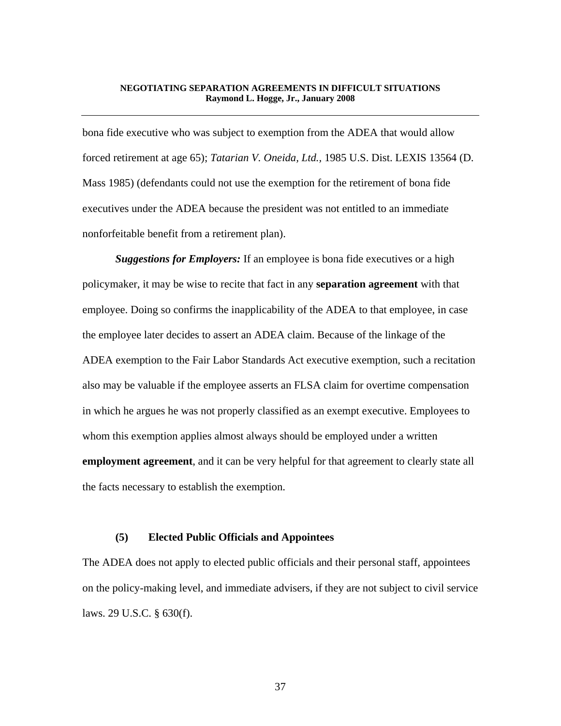bona fide executive who was subject to exemption from the ADEA that would allow forced retirement at age 65); *Tatarian V. Oneida, Ltd.,* 1985 U.S. Dist. LEXIS 13564 (D. Mass 1985) (defendants could not use the exemption for the retirement of bona fide executives under the ADEA because the president was not entitled to an immediate nonforfeitable benefit from a retirement plan).

*Suggestions for Employers:* If an employee is bona fide executives or a high policymaker, it may be wise to recite that fact in any **separation agreement** with that employee. Doing so confirms the inapplicability of the ADEA to that employee, in case the employee later decides to assert an ADEA claim. Because of the linkage of the ADEA exemption to the Fair Labor Standards Act executive exemption, such a recitation also may be valuable if the employee asserts an FLSA claim for overtime compensation in which he argues he was not properly classified as an exempt executive. Employees to whom this exemption applies almost always should be employed under a written **employment agreement**, and it can be very helpful for that agreement to clearly state all the facts necessary to establish the exemption.

## **(5) Elected Public Officials and Appointees**

The ADEA does not apply to elected public officials and their personal staff, appointees on the policy-making level, and immediate advisers, if they are not subject to civil service laws. 29 U.S.C. § 630(f).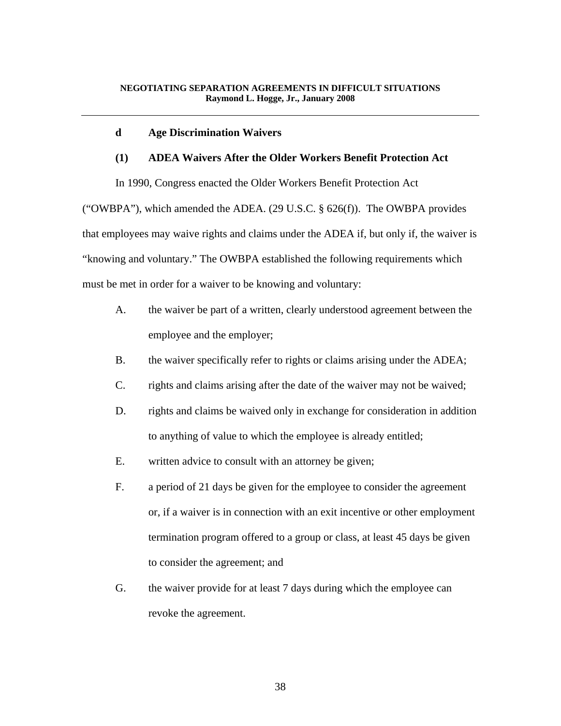#### **d Age Discrimination Waivers**

# **(1) ADEA Waivers After the Older Workers Benefit Protection Act**

 In 1990, Congress enacted the Older Workers Benefit Protection Act ("OWBPA"), which amended the ADEA. (29 U.S.C.  $\S$  626(f)). The OWBPA provides that employees may waive rights and claims under the ADEA if, but only if, the waiver is "knowing and voluntary." The OWBPA established the following requirements which must be met in order for a waiver to be knowing and voluntary:

- A. the waiver be part of a written, clearly understood agreement between the employee and the employer;
- B. the waiver specifically refer to rights or claims arising under the ADEA;
- C. rights and claims arising after the date of the waiver may not be waived;
- D. rights and claims be waived only in exchange for consideration in addition to anything of value to which the employee is already entitled;
- E. written advice to consult with an attorney be given;
- F. a period of 21 days be given for the employee to consider the agreement or, if a waiver is in connection with an exit incentive or other employment termination program offered to a group or class, at least 45 days be given to consider the agreement; and
- G. the waiver provide for at least 7 days during which the employee can revoke the agreement.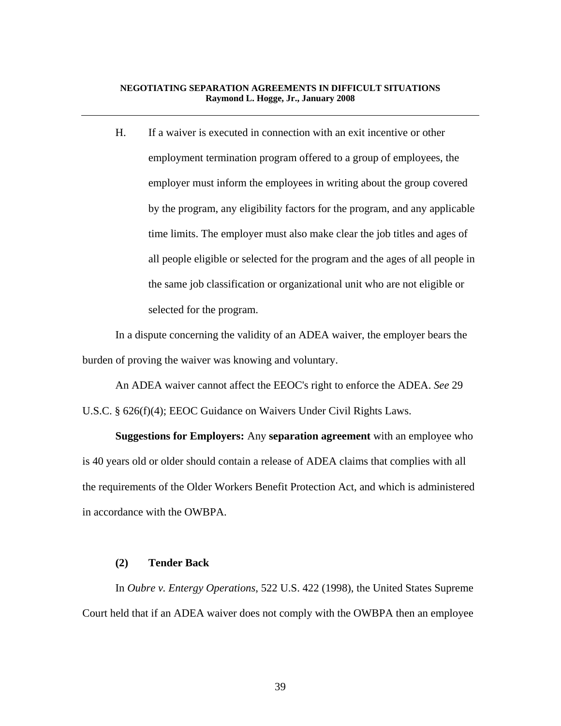H. If a waiver is executed in connection with an exit incentive or other employment termination program offered to a group of employees, the employer must inform the employees in writing about the group covered by the program, any eligibility factors for the program, and any applicable time limits. The employer must also make clear the job titles and ages of all people eligible or selected for the program and the ages of all people in the same job classification or organizational unit who are not eligible or selected for the program.

 In a dispute concerning the validity of an ADEA waiver, the employer bears the burden of proving the waiver was knowing and voluntary.

 An ADEA waiver cannot affect the EEOC's right to enforce the ADEA. *See* 29 U.S.C. § 626(f)(4); EEOC Guidance on Waivers Under Civil Rights Laws.

 **Suggestions for Employers:** Any **separation agreement** with an employee who is 40 years old or older should contain a release of ADEA claims that complies with all the requirements of the Older Workers Benefit Protection Act, and which is administered in accordance with the OWBPA.

#### **(2) Tender Back**

 In *Oubre v. Entergy Operations*, 522 U.S. 422 (1998), the United States Supreme Court held that if an ADEA waiver does not comply with the OWBPA then an employee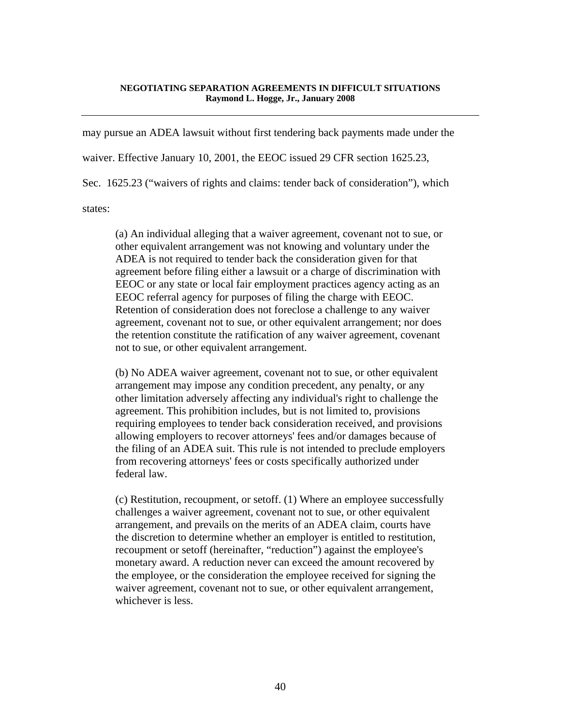may pursue an ADEA lawsuit without first tendering back payments made under the

waiver. Effective January 10, 2001, the EEOC issued 29 CFR section 1625.23,

Sec. 1625.23 ("waivers of rights and claims: tender back of consideration"), which

states:

(a) An individual alleging that a waiver agreement, covenant not to sue, or other equivalent arrangement was not knowing and voluntary under the ADEA is not required to tender back the consideration given for that agreement before filing either a lawsuit or a charge of discrimination with EEOC or any state or local fair employment practices agency acting as an EEOC referral agency for purposes of filing the charge with EEOC. Retention of consideration does not foreclose a challenge to any waiver agreement, covenant not to sue, or other equivalent arrangement; nor does the retention constitute the ratification of any waiver agreement, covenant not to sue, or other equivalent arrangement.

(b) No ADEA waiver agreement, covenant not to sue, or other equivalent arrangement may impose any condition precedent, any penalty, or any other limitation adversely affecting any individual's right to challenge the agreement. This prohibition includes, but is not limited to, provisions requiring employees to tender back consideration received, and provisions allowing employers to recover attorneys' fees and/or damages because of the filing of an ADEA suit. This rule is not intended to preclude employers from recovering attorneys' fees or costs specifically authorized under federal law.

(c) Restitution, recoupment, or setoff. (1) Where an employee successfully challenges a waiver agreement, covenant not to sue, or other equivalent arrangement, and prevails on the merits of an ADEA claim, courts have the discretion to determine whether an employer is entitled to restitution, recoupment or setoff (hereinafter, "reduction") against the employee's monetary award. A reduction never can exceed the amount recovered by the employee, or the consideration the employee received for signing the waiver agreement, covenant not to sue, or other equivalent arrangement, whichever is less.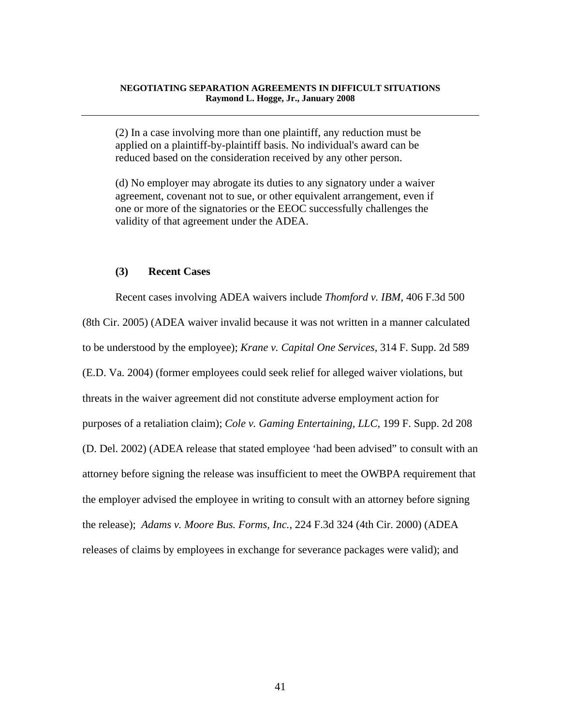(2) In a case involving more than one plaintiff, any reduction must be applied on a plaintiff-by-plaintiff basis. No individual's award can be reduced based on the consideration received by any other person.

(d) No employer may abrogate its duties to any signatory under a waiver agreement, covenant not to sue, or other equivalent arrangement, even if one or more of the signatories or the EEOC successfully challenges the validity of that agreement under the ADEA.

## **(3) Recent Cases**

 Recent cases involving ADEA waivers include *Thomford v. IBM*, 406 F.3d 500 (8th Cir. 2005) (ADEA waiver invalid because it was not written in a manner calculated to be understood by the employee); *Krane v. Capital One Services*, 314 F. Supp. 2d 589 (E.D. Va. 2004) (former employees could seek relief for alleged waiver violations, but threats in the waiver agreement did not constitute adverse employment action for purposes of a retaliation claim); *Cole v. Gaming Entertaining, LLC*, 199 F. Supp. 2d 208 (D. Del. 2002) (ADEA release that stated employee 'had been advised" to consult with an attorney before signing the release was insufficient to meet the OWBPA requirement that the employer advised the employee in writing to consult with an attorney before signing the release); *Adams v. Moore Bus. Forms, Inc.*, 224 F.3d 324 (4th Cir. 2000) (ADEA releases of claims by employees in exchange for severance packages were valid); and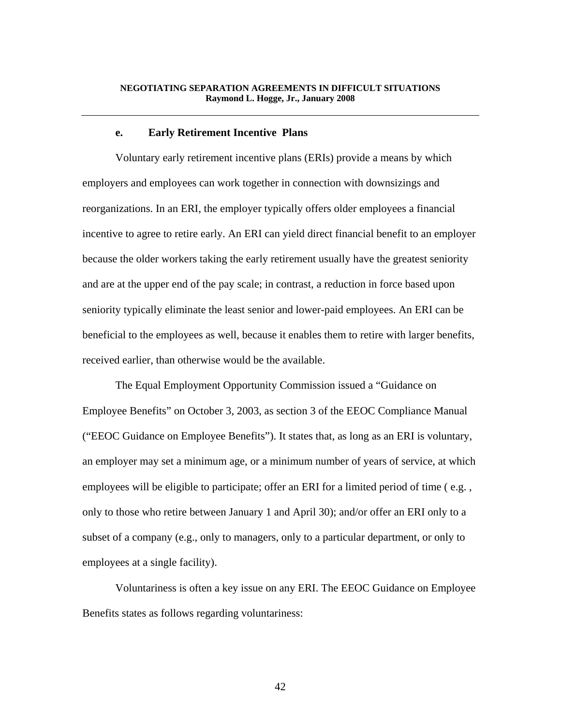#### **e. Early Retirement Incentive Plans**

 Voluntary early retirement incentive plans (ERIs) provide a means by which employers and employees can work together in connection with downsizings and reorganizations. In an ERI, the employer typically offers older employees a financial incentive to agree to retire early. An ERI can yield direct financial benefit to an employer because the older workers taking the early retirement usually have the greatest seniority and are at the upper end of the pay scale; in contrast, a reduction in force based upon seniority typically eliminate the least senior and lower-paid employees. An ERI can be beneficial to the employees as well, because it enables them to retire with larger benefits, received earlier, than otherwise would be the available.

 The Equal Employment Opportunity Commission issued a "Guidance on Employee Benefits" on October 3, 2003, as section 3 of the EEOC Compliance Manual ("EEOC Guidance on Employee Benefits"). It states that, as long as an ERI is voluntary, an employer may set a minimum age, or a minimum number of years of service, at which employees will be eligible to participate; offer an ERI for a limited period of time ( e.g. , only to those who retire between January 1 and April 30); and/or offer an ERI only to a subset of a company (e.g., only to managers, only to a particular department, or only to employees at a single facility).

 Voluntariness is often a key issue on any ERI. The EEOC Guidance on Employee Benefits states as follows regarding voluntariness: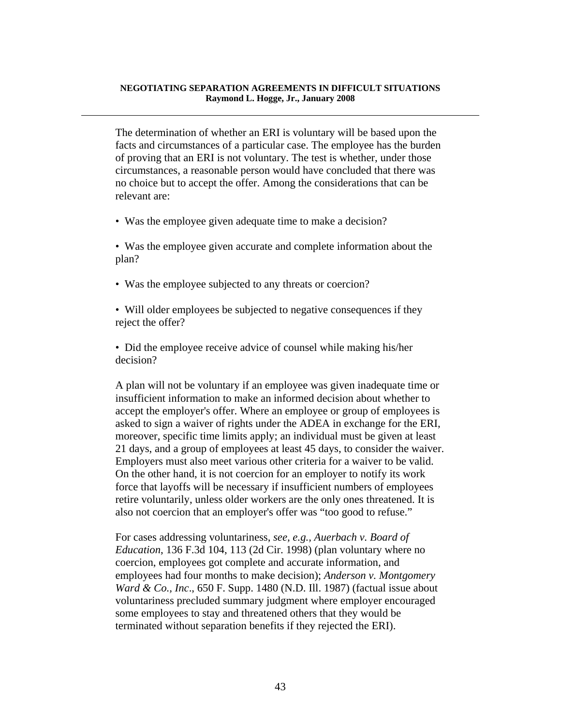The determination of whether an ERI is voluntary will be based upon the facts and circumstances of a particular case. The employee has the burden of proving that an ERI is not voluntary. The test is whether, under those circumstances, a reasonable person would have concluded that there was no choice but to accept the offer. Among the considerations that can be relevant are:

- Was the employee given adequate time to make a decision?
- Was the employee given accurate and complete information about the plan?
- Was the employee subjected to any threats or coercion?

• Will older employees be subjected to negative consequences if they reject the offer?

• Did the employee receive advice of counsel while making his/her decision?

A plan will not be voluntary if an employee was given inadequate time or insufficient information to make an informed decision about whether to accept the employer's offer. Where an employee or group of employees is asked to sign a waiver of rights under the ADEA in exchange for the ERI, moreover, specific time limits apply; an individual must be given at least 21 days, and a group of employees at least 45 days, to consider the waiver. Employers must also meet various other criteria for a waiver to be valid. On the other hand, it is not coercion for an employer to notify its work force that layoffs will be necessary if insufficient numbers of employees retire voluntarily, unless older workers are the only ones threatened. It is also not coercion that an employer's offer was "too good to refuse."

For cases addressing voluntariness, *see, e.g., Auerbach v. Board of Education*, 136 F.3d 104, 113 (2d Cir. 1998) (plan voluntary where no coercion, employees got complete and accurate information, and employees had four months to make decision); *Anderson v. Montgomery Ward & Co., Inc*., 650 F. Supp. 1480 (N.D. Ill. 1987) (factual issue about voluntariness precluded summary judgment where employer encouraged some employees to stay and threatened others that they would be terminated without separation benefits if they rejected the ERI).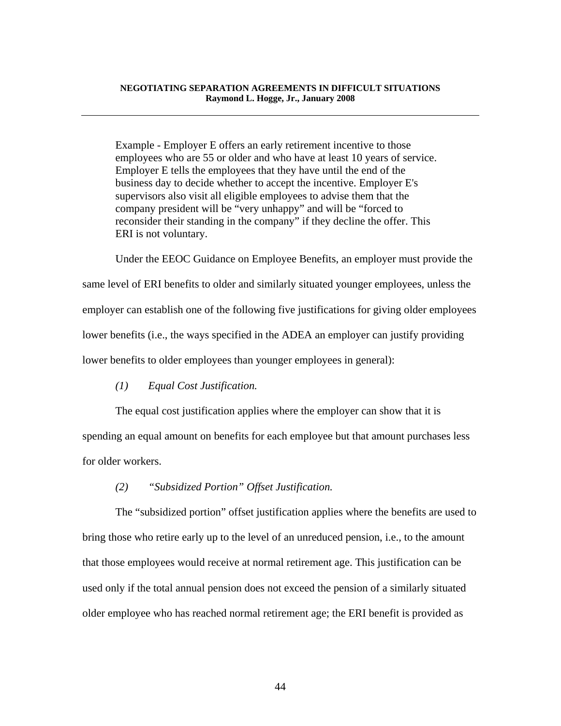Example - Employer E offers an early retirement incentive to those employees who are 55 or older and who have at least 10 years of service. Employer E tells the employees that they have until the end of the business day to decide whether to accept the incentive. Employer E's supervisors also visit all eligible employees to advise them that the company president will be "very unhappy" and will be "forced to reconsider their standing in the company" if they decline the offer. This ERI is not voluntary.

 Under the EEOC Guidance on Employee Benefits, an employer must provide the same level of ERI benefits to older and similarly situated younger employees, unless the employer can establish one of the following five justifications for giving older employees lower benefits (i.e., the ways specified in the ADEA an employer can justify providing lower benefits to older employees than younger employees in general):

*(1) Equal Cost Justification.* 

 The equal cost justification applies where the employer can show that it is spending an equal amount on benefits for each employee but that amount purchases less for older workers.

## *(2) "Subsidized Portion" Offset Justification.*

 The "subsidized portion" offset justification applies where the benefits are used to bring those who retire early up to the level of an unreduced pension, i.e., to the amount that those employees would receive at normal retirement age. This justification can be used only if the total annual pension does not exceed the pension of a similarly situated older employee who has reached normal retirement age; the ERI benefit is provided as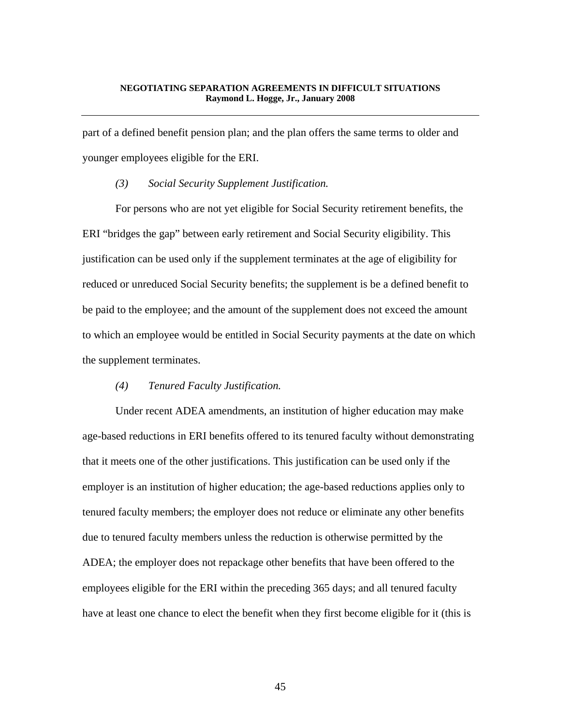part of a defined benefit pension plan; and the plan offers the same terms to older and younger employees eligible for the ERI.

## *(3) Social Security Supplement Justification.*

 For persons who are not yet eligible for Social Security retirement benefits, the ERI "bridges the gap" between early retirement and Social Security eligibility. This justification can be used only if the supplement terminates at the age of eligibility for reduced or unreduced Social Security benefits; the supplement is be a defined benefit to be paid to the employee; and the amount of the supplement does not exceed the amount to which an employee would be entitled in Social Security payments at the date on which the supplement terminates.

## *(4) Tenured Faculty Justification.*

 Under recent ADEA amendments, an institution of higher education may make age-based reductions in ERI benefits offered to its tenured faculty without demonstrating that it meets one of the other justifications. This justification can be used only if the employer is an institution of higher education; the age-based reductions applies only to tenured faculty members; the employer does not reduce or eliminate any other benefits due to tenured faculty members unless the reduction is otherwise permitted by the ADEA; the employer does not repackage other benefits that have been offered to the employees eligible for the ERI within the preceding 365 days; and all tenured faculty have at least one chance to elect the benefit when they first become eligible for it (this is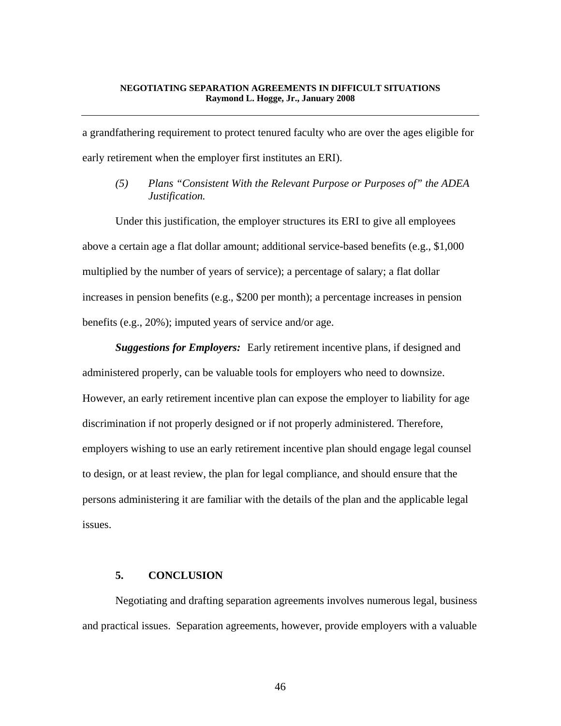a grandfathering requirement to protect tenured faculty who are over the ages eligible for early retirement when the employer first institutes an ERI).

*(5) Plans "Consistent With the Relevant Purpose or Purposes of" the ADEA Justification.* 

 Under this justification, the employer structures its ERI to give all employees above a certain age a flat dollar amount; additional service-based benefits (e.g., \$1,000 multiplied by the number of years of service); a percentage of salary; a flat dollar increases in pension benefits (e.g., \$200 per month); a percentage increases in pension benefits (e.g., 20%); imputed years of service and/or age.

**Suggestions for Employers:** Early retirement incentive plans, if designed and administered properly, can be valuable tools for employers who need to downsize. However, an early retirement incentive plan can expose the employer to liability for age discrimination if not properly designed or if not properly administered. Therefore, employers wishing to use an early retirement incentive plan should engage legal counsel to design, or at least review, the plan for legal compliance, and should ensure that the persons administering it are familiar with the details of the plan and the applicable legal issues.

# **5. CONCLUSION**

 Negotiating and drafting separation agreements involves numerous legal, business and practical issues. Separation agreements, however, provide employers with a valuable